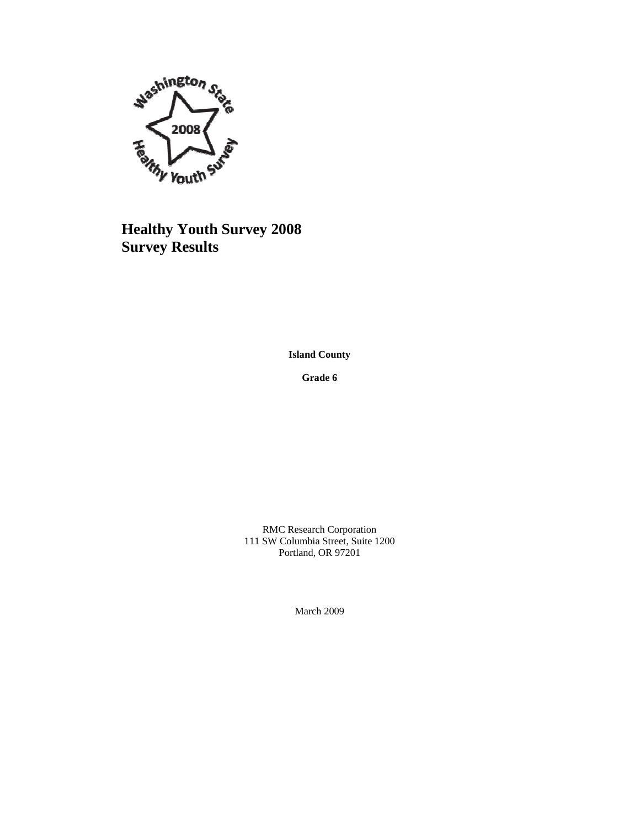

# **Healthy Youth Survey 2008 Survey Results**

**Island County**

**Grade 6**

RMC Research Corporation 111 SW Columbia Street, Suite 1200 Portland, OR 97201

March 2009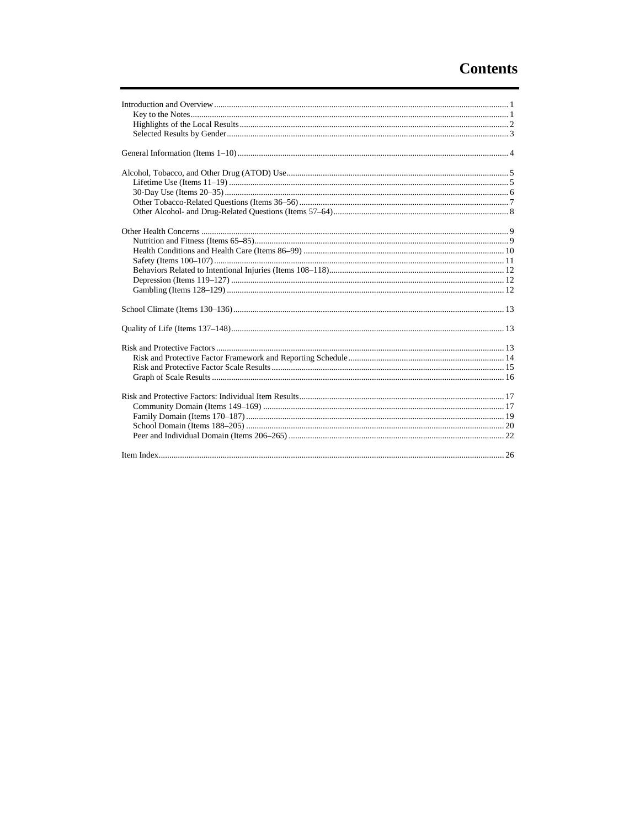# **Contents**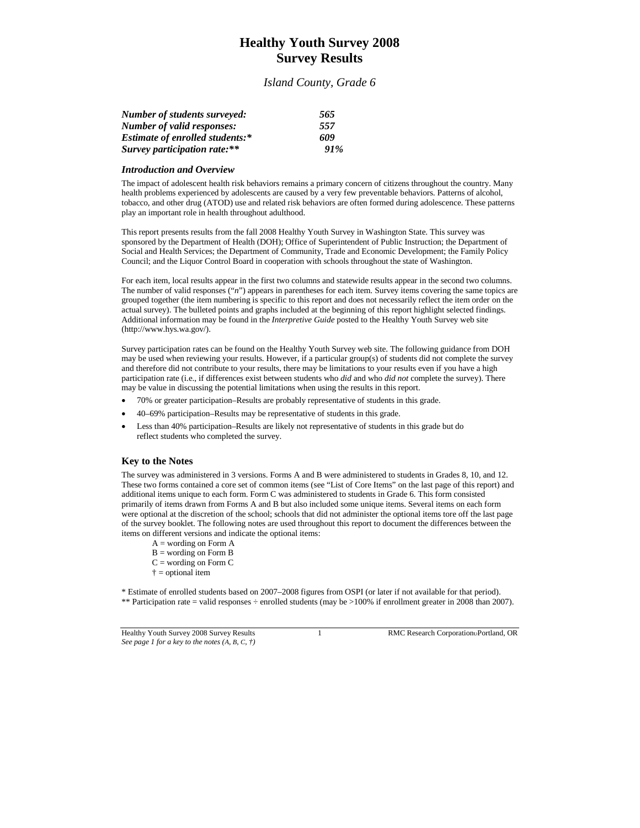# **Healthy Youth Survey 2008 Survey Results**

#### *Island County, Grade 6*

| <b>Number of students surveyed:</b>    | 565 |
|----------------------------------------|-----|
| Number of valid responses:             | 557 |
| <b>Estimate of enrolled students:*</b> | 609 |
| Survey participation rate:**           | 91% |

#### *Introduction and Overview*

The impact of adolescent health risk behaviors remains a primary concern of citizens throughout the country. Many health problems experienced by adolescents are caused by a very few preventable behaviors. Patterns of alcohol, tobacco, and other drug (ATOD) use and related risk behaviors are often formed during adolescence. These patterns play an important role in health throughout adulthood.

This report presents results from the fall 2008 Healthy Youth Survey in Washington State. This survey was sponsored by the Department of Health (DOH); Office of Superintendent of Public Instruction; the Department of Social and Health Services; the Department of Community, Trade and Economic Development; the Family Policy Council; and the Liquor Control Board in cooperation with schools throughout the state of Washington.

For each item, local results appear in the first two columns and statewide results appear in the second two columns. The number of valid responses ("*n*") appears in parentheses for each item. Survey items covering the same topics are grouped together (the item numbering is specific to this report and does not necessarily reflect the item order on the actual survey). The bulleted points and graphs included at the beginning of this report highlight selected findings. Additional information may be found in the *Interpretive Guide* posted to the Healthy Youth Survey web site (http://www.hys.wa.gov/).

Survey participation rates can be found on the Healthy Youth Survey web site. The following guidance from DOH may be used when reviewing your results. However, if a particular group(s) of students did not complete the survey and therefore did not contribute to your results, there may be limitations to your results even if you have a high participation rate (i.e., if differences exist between students who *did* and who *did not* complete the survey). There may be value in discussing the potential limitations when using the results in this report.

- 70% or greater participation–Results are probably representative of students in this grade.
- 40–69% participation–Results may be representative of students in this grade.
- Less than 40% participation–Results are likely not representative of students in this grade but do reflect students who completed the survey.

#### **Key to the Notes**

The survey was administered in 3 versions. Forms A and B were administered to students in Grades 8, 10, and 12. These two forms contained a core set of common items (see "List of Core Items" on the last page of this report) and additional items unique to each form. Form C was administered to students in Grade 6. This form consisted primarily of items drawn from Forms A and B but also included some unique items. Several items on each form were optional at the discretion of the school; schools that did not administer the optional items tore off the last page of the survey booklet. The following notes are used throughout this report to document the differences between the items on different versions and indicate the optional items:

- $A =$  wording on Form  $A$
- $\mathbf{B} =$  wording on Form  $\mathbf{B}$
- $C =$  wording on Form  $C$
- $\dagger$  = optional item

\* Estimate of enrolled students based on 2007–2008 figures from OSPI (or later if not available for that period). \*\* Participation rate = valid responses ÷ enrolled students (may be >100% if enrollment greater in 2008 than 2007).

Healthy Youth Survey 2008 Survey Results 1 RMC Research CorporationPortland, OR *See page 1 for a key to the notes (A, B, C, †)*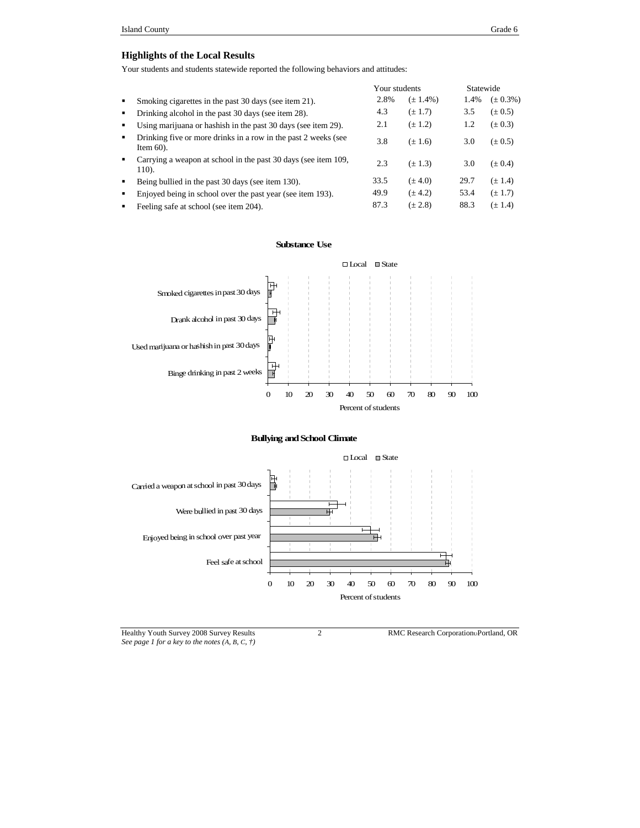## **Highlights of the Local Results**

Your students and students statewide reported the following behaviors and attitudes:

|                |                                                                                |      | Your students |      | Statewide     |  |
|----------------|--------------------------------------------------------------------------------|------|---------------|------|---------------|--|
| ٠              | Smoking cigarettes in the past 30 days (see item 21).                          | 2.8% | $(\pm 1.4\%)$ | 1.4% | $(\pm 0.3\%)$ |  |
| $\blacksquare$ | Drinking alcohol in the past 30 days (see item 28).                            | 4.3  | $(\pm 1.7)$   | 3.5  | $(\pm 0.5)$   |  |
| ٠              | Using marijuana or hashish in the past 30 days (see item 29).                  | 2.1  | $(\pm 1.2)$   | 1.2  | $(\pm 0.3)$   |  |
| $\blacksquare$ | Drinking five or more drinks in a row in the past 2 weeks (see<br>Item $60$ ). | 3.8  | $(\pm 1.6)$   | 3.0  | $(\pm 0.5)$   |  |
| ٠              | Carrying a weapon at school in the past 30 days (see item 109,<br>110).        | 2.3  | $(\pm 1.3)$   | 3.0  | $(\pm 0.4)$   |  |
| ٠              | Being bullied in the past 30 days (see item 130).                              | 33.5 | $(\pm 4.0)$   | 29.7 | $(\pm 1.4)$   |  |
| $\blacksquare$ | Enjoyed being in school over the past year (see item 193).                     | 49.9 | $(\pm 4.2)$   | 53.4 | $(\pm 1.7)$   |  |
|                | Feeling safe at school (see item 204).                                         | 87.3 | $(\pm 2.8)$   | 88.3 | $(\pm 1.4)$   |  |

#### **Substance Use**



#### **Bullying andSchool Climate**



Healthy Youth Survey 2008 Survey Results 2 RMC Research Corporation Portland, OR *See page 1 for a key to the notes (A, B, C, †)*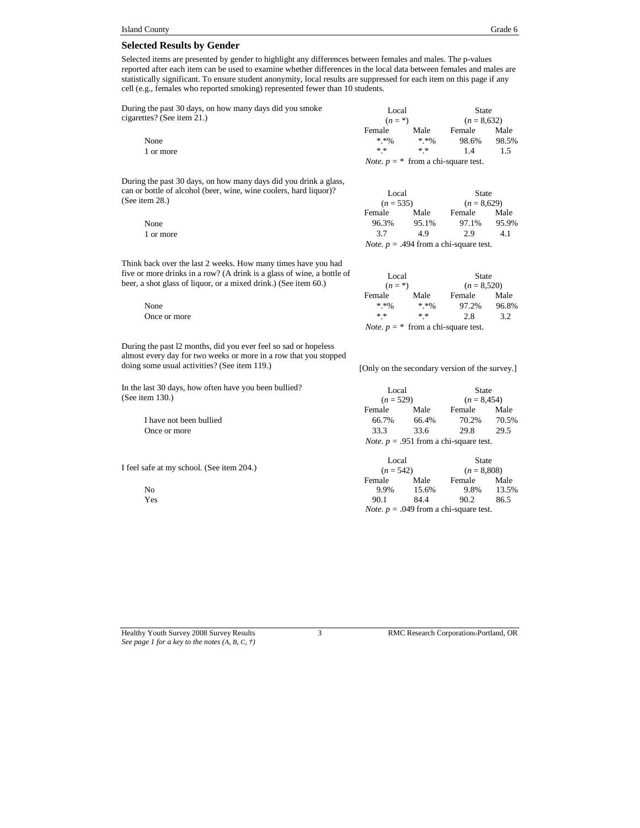#### **Selected Results by Gender**

Selected items are presented by gender to highlight any differences between females and males. The p-values reported after each item can be used to examine whether differences in the local data between females and males are statistically significant. To ensure student anonymity, local results are suppressed for each item on this page if any cell (e.g., females who reported smoking) represented fewer than 10 students.

During the past 30 days, on how many days did you smoke cigarettes? (See item 21.)

| the past 30 days, on how many days did you smoke | Local<br>$(n = * )$ |          | State<br>$(n = 8.632)$                       |       |
|--------------------------------------------------|---------------------|----------|----------------------------------------------|-------|
| tes? (See item 21.)                              |                     |          |                                              |       |
|                                                  | Female              | Male     | Female                                       | Male  |
| None                                             | $* * 00$            | $* * 00$ | 98.6%                                        | 98.5% |
| 1 or more                                        | * *                 | * *      |                                              |       |
|                                                  |                     |          | <i>Note.</i> $p = *$ from a chi-square test. |       |

During the past 30 days, on how many days did you drink a glass, can or bottle of alcohol (beer, wine, wine coolers, hard liquor)? (See item 28.)

Local  $(n = 535)$ State  $(n = 8,629)$ Female Male Female Male None 96.3% 95.1% 97.1% 95.9% 1 or more 3.7 4.9 2.9 4.1 *Note.*  $p = .494$  from a chi-square test.

Think back over the last 2 weeks. How many times have you had five or more drinks in a row? (A drink is a glass of wine, a bottle of beer, a shot glass of liquor, or a mixed drink.) (See item 60.)

Local  $(n = * )$ State (*n* = 8,520) Female Male Female None  $*.*\%$   $*.*\%$   $*'.\%$  97.2% 96.8% Once or more  $***$   $***$  2.8 3.2 *Note.*  $p = *$  from a chi-square test.

During the past l2 months, did you ever feel so sad or hopeless almost every day for two weeks or more in a row that you stopped doing some usual activities? (See item 119.) [Only on the secondary version of the survey.]

In the last 30 days, how often have you been bullied? (See item 130.)

> I have not been bullied Once or more

I feel safe at my school. (See item 204.)

| Local                                           |       | State          |       |  |
|-------------------------------------------------|-------|----------------|-------|--|
| $(n = 529)$                                     |       | $(n = 8, 454)$ |       |  |
| Female                                          | Male  | Female         | Male  |  |
| 66.7%                                           | 66.4% | 70.2%          | 70.5% |  |
| 33.3                                            | 33.6  | 29.8           | 29.5  |  |
| <i>Note.</i> $p = .951$ from a chi-square test. |       |                |       |  |

|                                   | Local<br>$(n = 542)$ |       | State<br>$(n = 8,808)$                          |       |
|-----------------------------------|----------------------|-------|-------------------------------------------------|-------|
| afe at my school. (See item 204.) |                      |       |                                                 |       |
|                                   | Female               | Male  | Female                                          | Male  |
| No                                | 9.9%                 | 15.6% | 9.8%                                            | 13.5% |
| Yes                               | 90.1                 | 84.4  | 90.2                                            | 86.5  |
|                                   |                      |       | <i>Note.</i> $p = .049$ from a chi-square test. |       |

*See page 1 for a key to the notes (A, B, C, †)*

Healthy Youth Survey 2008 Survey Results 3 RMC Research Corporation Portland, OR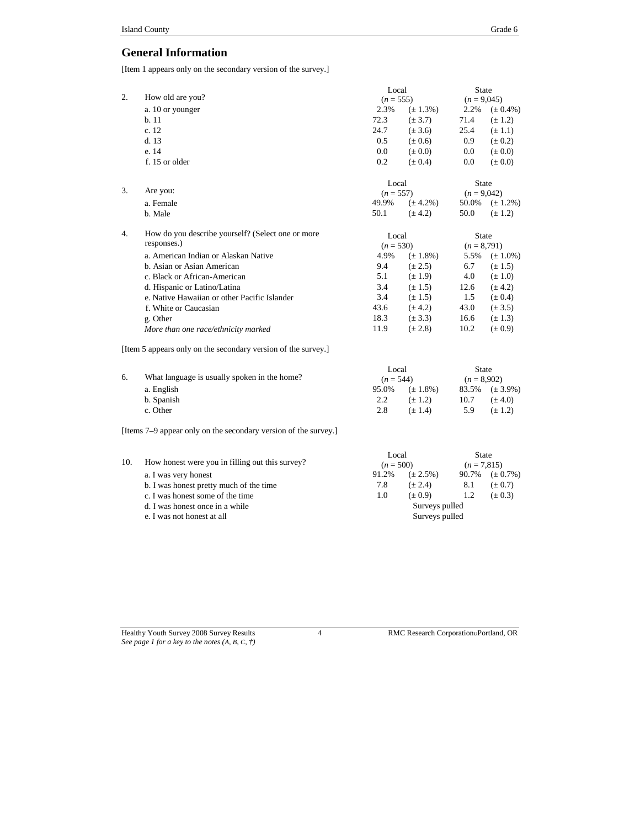# **General Information**

[Item 1 appears only on the secondary version of the survey.]

|    |                                                               | Local       |               | <b>State</b>  |               |
|----|---------------------------------------------------------------|-------------|---------------|---------------|---------------|
| 2. | How old are you?                                              | $(n = 555)$ |               | $(n = 9,045)$ |               |
|    | a. 10 or younger                                              | 2.3%        | $(\pm 1.3\%)$ | 2.2%          | $(\pm 0.4\%)$ |
|    | b.11                                                          | 72.3        | $(\pm 3.7)$   | 71.4          | $(\pm 1.2)$   |
|    | c. 12                                                         | 24.7        | $(\pm 3.6)$   | 25.4          | $(\pm 1.1)$   |
|    | d.13                                                          | 0.5         | $(\pm 0.6)$   | 0.9           | $(\pm 0.2)$   |
|    | e. 14                                                         | 0.0         | $(\pm 0.0)$   | 0.0           | $(\pm 0.0)$   |
|    | f. 15 or older                                                | 0.2         | $(\pm 0.4)$   | 0.0           | $(\pm 0.0)$   |
|    |                                                               | Local       |               | State         |               |
| 3. | Are you:                                                      | $(n = 557)$ |               | $(n = 9,042)$ |               |
|    | a. Female                                                     | 49.9%       | $(\pm 4.2\%)$ | 50.0%         | $(\pm 1.2\%)$ |
|    | b. Male                                                       | 50.1        | $(\pm 4.2)$   | 50.0          | $(\pm 1.2)$   |
| 4. | How do you describe yourself? (Select one or more             | Local       |               | <b>State</b>  |               |
|    | responses.)                                                   | $(n = 530)$ |               | $(n = 8,791)$ |               |
|    | a. American Indian or Alaskan Native                          | 4.9%        | $(\pm 1.8\%)$ | 5.5%          | $(\pm 1.0\%)$ |
|    | b. Asian or Asian American                                    | 9.4         | $(\pm 2.5)$   | 6.7           | $(\pm 1.5)$   |
|    | c. Black or African-American                                  | 5.1         | $(\pm 1.9)$   | 4.0           | $(\pm 1.0)$   |
|    | d. Hispanic or Latino/Latina                                  | 3.4         | $(\pm 1.5)$   | 12.6          | $(\pm 4.2)$   |
|    | e. Native Hawaiian or other Pacific Islander                  | 3.4         | $(\pm 1.5)$   | $1.5\,$       | $(\pm 0.4)$   |
|    | f. White or Caucasian                                         | 43.6        | $(\pm 4.2)$   | 43.0          | $(\pm 3.5)$   |
|    | g. Other                                                      | 18.3        | $(\pm 3.3)$   | 16.6          | $(\pm 1.3)$   |
|    | More than one race/ethnicity marked                           | 11.9        | $(\pm 2.8)$   | 10.2          | $(\pm 0.9)$   |
|    | [Item 5 appears only on the secondary version of the survey.] |             |               |               |               |
|    |                                                               | Local       |               | <b>State</b>  |               |
| 6. | What language is usually spoken in the home?                  | $(n = 544)$ |               | $(n = 8,902)$ |               |
|    | a. English                                                    | 95.0%       | $(\pm 1.8\%)$ | 83.5%         | $(\pm 3.9\%)$ |
|    | b. Spanish                                                    | 2.2         | $(\pm 1.2)$   | 10.7          | $(\pm 4.0)$   |
|    | c. Other                                                      | 2.8         | $(\pm 1.4)$   | 5.9           | $(\pm 1.2)$   |

[Items 7–9 appear only on the secondary version of the survey.]

| How honest were you in filling out this survey? | Local<br>$(n = 500)$             |               |     |                        |
|-------------------------------------------------|----------------------------------|---------------|-----|------------------------|
| a. I was very honest                            | 91.2%                            | $(\pm 2.5\%)$ |     | $90.7\%$ $(\pm 0.7\%)$ |
| b. I was honest pretty much of the time         | 7.8                              | $(\pm 2.4)$   | 8.1 | $(\pm 0.7)$            |
| c. I was honest some of the time                | 1.0                              | $(\pm 0.9)$   | 1.2 | $(\pm 0.3)$            |
| d. I was honest once in a while                 | Surveys pulled<br>Surveys pulled |               |     |                        |
| e. I was not honest at all                      |                                  |               |     |                        |
|                                                 |                                  |               |     | State<br>$(n = 7,815)$ |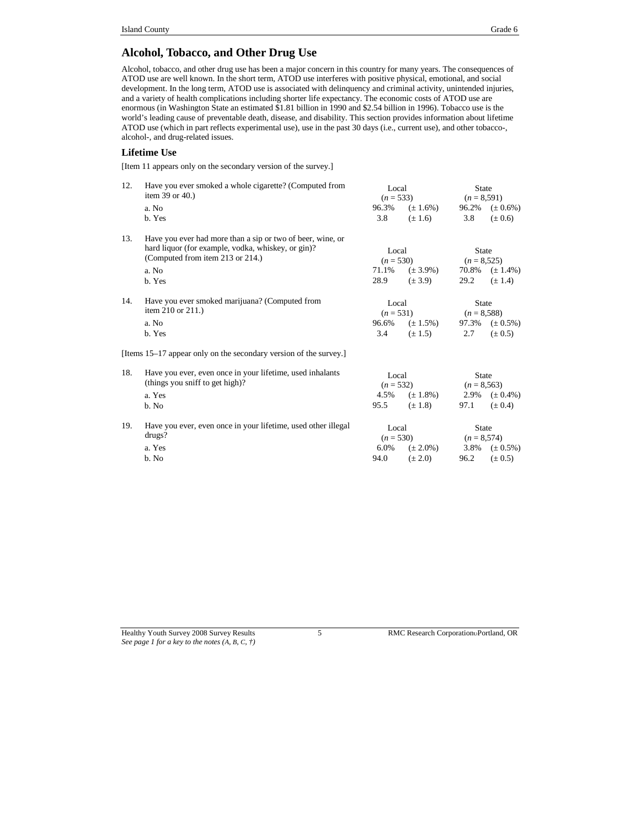# **Alcohol, Tobacco, and Other Drug Use**

Alcohol, tobacco, and other drug use has been a major concern in this country for many years. The consequences of ATOD use are well known. In the short term, ATOD use interferes with positive physical, emotional, and social development. In the long term, ATOD use is associated with delinquency and criminal activity, unintended injuries, and a variety of health complications including shorter life expectancy. The economic costs of ATOD use are enormous (in Washington State an estimated \$1.81 billion in 1990 and \$2.54 billion in 1996). Tobacco use is the world's leading cause of preventable death, disease, and disability. This section provides information about lifetime ATOD use (which in part reflects experimental use), use in the past 30 days (i.e., current use), and other tobacco-, alcohol-, and drug-related issues.

#### **Lifetime Use**

[Item 11 appears only on the secondary version of the survey.]

| 12. | Have you ever smoked a whole cigarette? (Computed from<br>item 39 or $40.$ )<br>a. No<br>b. Yes                                                                         | Local<br>$(n = 533)$<br>96.3%<br>3.8  | $(\pm 1.6\%)$<br>$(\pm 1.6)$ | <b>State</b><br>$(n = 8,591)$<br>3.8   | 96.2% $(\pm 0.6\%)$<br>$(\pm 0.6)$ |
|-----|-------------------------------------------------------------------------------------------------------------------------------------------------------------------------|---------------------------------------|------------------------------|----------------------------------------|------------------------------------|
| 13. | Have you ever had more than a sip or two of beer, wine, or<br>hard liquor (for example, vodka, whiskey, or gin)?<br>(Computed from item 213 or 214.)<br>a. No<br>b. Yes | Local<br>$(n = 530)$<br>71.1%<br>28.9 | $(\pm 3.9\%)$<br>$(\pm 3.9)$ | State<br>$(n = 8,525)$<br>29.2         | 70.8% $(\pm 1.4\%)$<br>$(\pm 1.4)$ |
| 14. | Have you ever smoked marijuana? (Computed from<br>item 210 or 211.)<br>a. No<br>b. Yes                                                                                  | Local<br>$(n = 531)$<br>96.6%<br>3.4  | $(\pm 1.5\%)$<br>$(\pm 1.5)$ | <b>State</b><br>$(n = 8,588)$<br>2.7   | 97.3% $(\pm 0.5\%)$<br>$(\pm 0.5)$ |
|     | [Items 15–17 appear only on the secondary version of the survey.]                                                                                                       |                                       |                              |                                        |                                    |
| 18. | Have you ever, even once in your lifetime, used inhalants<br>(things you sniff to get high)?<br>a. Yes<br>b. No                                                         | Local<br>$(n = 532)$<br>4.5%<br>95.5  | $(\pm 1.8\%)$<br>$(\pm 1.8)$ | <b>State</b><br>$(n = 8, 563)$<br>97.1 | 2.9% $(\pm 0.4\%)$<br>$(\pm 0.4)$  |
| 19. | Have you ever, even once in your lifetime, used other illegal<br>drugs?<br>a. Yes<br>b. No                                                                              | Local<br>$(n = 530)$<br>6.0%<br>94.0  | $(\pm 2.0\%)$<br>$(\pm 2.0)$ | <b>State</b><br>$(n = 8,574)$<br>96.2  | 3.8% $(\pm 0.5\%)$<br>$(\pm 0.5)$  |

Healthy Youth Survey 2008 Survey Results 5 RMC Research Corporation Portland, OR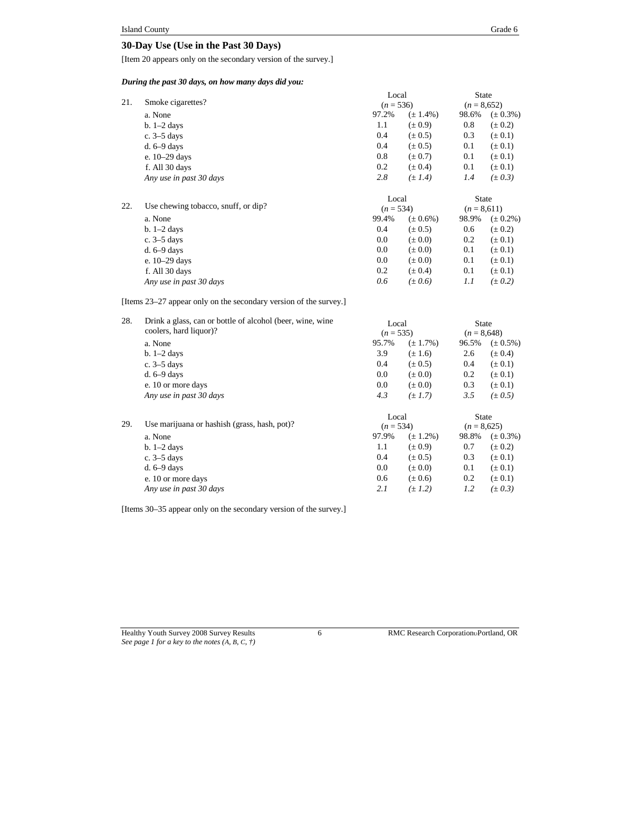## **30-Day Use (Use in the Past 30 Days)**

[Item 20 appears only on the secondary version of the survey.]

*During the past 30 days, on how many days did you:*

|     |                                     | Local       |               | State         |               |
|-----|-------------------------------------|-------------|---------------|---------------|---------------|
| 21. | Smoke cigarettes?                   | $(n = 536)$ |               | $(n = 8,652)$ |               |
|     | a. None                             | 97.2%       | $(\pm 1.4\%)$ | 98.6%         | $(\pm 0.3\%)$ |
|     | $b. 1-2$ days                       | 1.1         | $(\pm 0.9)$   | 0.8           | $(\pm 0.2)$   |
|     | c. $3-5$ days                       | 0.4         | $(\pm 0.5)$   | 0.3           | $(\pm 0.1)$   |
|     | $d. 6-9$ days                       | 0.4         | $(\pm 0.5)$   | 0.1           | $(\pm 0.1)$   |
|     | e. 10-29 days                       | 0.8         | $(\pm 0.7)$   | 0.1           | $(\pm 0.1)$   |
|     | f. All 30 days                      | 0.2         | $(\pm 0.4)$   | 0.1           | $(\pm 0.1)$   |
|     | Any use in past 30 days             | 2.8         | $(\pm 1.4)$   | 1.4           | $(\pm 0.3)$   |
|     |                                     | Local       |               | <b>State</b>  |               |
| 22. | Use chewing tobacco, snuff, or dip? | $(n = 534)$ |               | $(n = 8.611)$ |               |
|     | a. None                             | 99.4%       | $(\pm 0.6\%)$ | 98.9%         | $(\pm 0.2\%)$ |
|     | $b. 1-2$ days                       | 0.4         | $(\pm 0.5)$   | 0.6           | $(\pm 0.2)$   |
|     | c. $3-5$ days                       | 0.0         | $(\pm 0.0)$   | 0.2           | $(\pm 0.1)$   |
|     | $d. 6-9$ days                       | 0.0         | $(\pm 0.0)$   | 0.1           | $(\pm 0.1)$   |
|     | e. 10–29 days                       | 0.0         | $(\pm 0.0)$   | 0.1           | $(\pm 0.1)$   |
|     | f. All 30 days                      | 0.2         | $(\pm 0.4)$   | 0.1           | $(\pm 0.1)$   |
|     | Any use in past 30 days             | 0.6         | $(\pm 0.6)$   | 1.1           | $(\pm 0.2)$   |

[Items 23–27 appear only on the secondary version of the survey.]

| 28. | Drink a glass, can or bottle of alcohol (beer, wine, wine<br>coolers, hard liquor)? | Local<br>$(n = 535)$ |               | <b>State</b><br>$(n = 8,648)$ |               |
|-----|-------------------------------------------------------------------------------------|----------------------|---------------|-------------------------------|---------------|
|     | a. None                                                                             | 95.7%                | $(\pm 1.7\%)$ | 96.5%                         | $(\pm 0.5\%)$ |
|     | $b. 1-2$ days                                                                       | 3.9                  | $(\pm 1.6)$   | 2.6                           | $(\pm 0.4)$   |
|     | c. $3-5$ days                                                                       | 0.4                  | $(\pm 0.5)$   | 0.4                           | $(\pm 0.1)$   |
|     | $d. 6-9$ days                                                                       | 0.0                  | $(\pm 0.0)$   | 0.2                           | $(\pm 0.1)$   |
|     | e. 10 or more days                                                                  | 0.0                  | $(\pm 0.0)$   | 0.3                           | $(\pm 0.1)$   |
|     | Any use in past 30 days                                                             | 4.3                  | $(\pm 1.7)$   | 3.5                           | $(\pm 0.5)$   |
| 29. | Use marijuana or hashish (grass, hash, pot)?                                        | Local<br>$(n = 534)$ |               | State<br>$(n = 8,625)$        |               |
|     | a. None                                                                             | 97.9%                | $(\pm 1.2\%)$ | 98.8%                         | $(\pm 0.3\%)$ |
|     | $b. 1-2$ days                                                                       | 1.1                  | $(\pm 0.9)$   | 0.7                           | $(\pm 0.2)$   |
|     | c. $3-5$ days                                                                       | 0.4                  | $(\pm 0.5)$   | 0.3                           | $(\pm 0.1)$   |
|     | $d. 6-9$ days                                                                       | 0.0                  | $(\pm 0.0)$   | 0.1                           | $(\pm 0.1)$   |
|     | e. 10 or more days                                                                  | 0.6                  | $(\pm 0.6)$   | 0.2                           | $(\pm 0.1)$   |
|     | Any use in past 30 days                                                             | 2.1                  | $(\pm 1.2)$   | 1.2                           | $(\pm 0.3)$   |
|     |                                                                                     |                      |               |                               |               |

[Items 30–35 appear only on the secondary version of the survey.]

Healthy Youth Survey 2008 Survey Results 6 RMC Research Corporation Portland, OR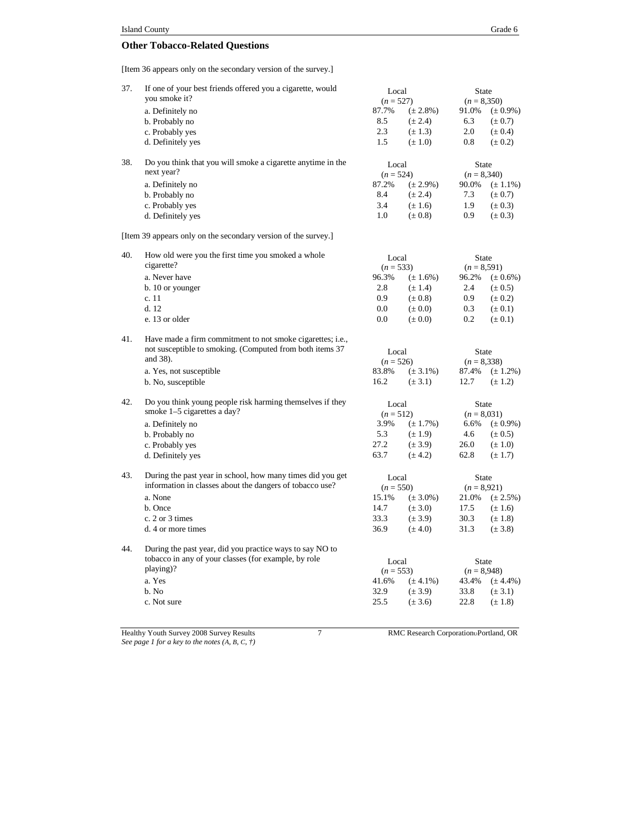# **Other Tobacco-Related Questions**

[Item 36 appears only on the secondary version of the survey.]

| 37. | If one of your best friends offered you a cigarette, would<br>you smoke it?<br>a. Definitely no<br>b. Probably no<br>c. Probably yes<br>d. Definitely yes | Local<br>$(n = 527)$<br>87.7%<br>8.5<br>2.3<br>1.5 | $(\pm 2.8\%)$<br>$(\pm 2.4)$<br>$(\pm 1.3)$<br>$(\pm 1.0)$ | <b>State</b><br>$(n = 8,350)$<br>91.0%<br>6.3<br>2.0<br>0.8 | $(\pm 0.9\%)$<br>$(\pm 0.7)$<br>$(\pm 0.4)$<br>$(\pm 0.2)$ |
|-----|-----------------------------------------------------------------------------------------------------------------------------------------------------------|----------------------------------------------------|------------------------------------------------------------|-------------------------------------------------------------|------------------------------------------------------------|
| 38. | Do you think that you will smoke a cigarette anytime in the<br>next year?                                                                                 | Local                                              |                                                            | <b>State</b>                                                |                                                            |
|     |                                                                                                                                                           | $(n = 524)$<br>87.2%                               | $(\pm 2.9\%)$                                              | $(n = 8,340)$<br>90.0%                                      |                                                            |
|     | a. Definitely no<br>b. Probably no                                                                                                                        | 8.4                                                | $(\pm 2.4)$                                                | 7.3                                                         | $(\pm 1.1\%)$<br>$(\pm 0.7)$                               |
|     | c. Probably yes                                                                                                                                           | 3.4                                                | $(\pm 1.6)$                                                | 1.9                                                         | $(\pm 0.3)$                                                |
|     | d. Definitely yes                                                                                                                                         | 1.0                                                | $(\pm 0.8)$                                                | 0.9                                                         | $(\pm 0.3)$                                                |
|     | [Item 39 appears only on the secondary version of the survey.]                                                                                            |                                                    |                                                            |                                                             |                                                            |
| 40. | How old were you the first time you smoked a whole                                                                                                        | Local                                              |                                                            | <b>State</b>                                                |                                                            |
|     | cigarette?                                                                                                                                                | $(n = 533)$                                        |                                                            | $(n = 8,591)$                                               |                                                            |
|     | a. Never have                                                                                                                                             | 96.3%                                              | $(\pm 1.6\%)$                                              | 96.2%                                                       | $(\pm 0.6\%)$                                              |
|     | b. 10 or younger                                                                                                                                          | 2.8                                                | $(\pm 1.4)$                                                | 2.4                                                         | $(\pm 0.5)$                                                |
|     | c. 11                                                                                                                                                     | 0.9                                                | $(\pm 0.8)$                                                | 0.9                                                         | $(\pm 0.2)$                                                |
|     | d.12                                                                                                                                                      | 0.0                                                | $(\pm 0.0)$                                                | 0.3                                                         | $(\pm 0.1)$                                                |
|     | e. 13 or older                                                                                                                                            | 0.0                                                | $(\pm 0.0)$                                                | 0.2                                                         | $(\pm 0.1)$                                                |
| 41. | Have made a firm commitment to not smoke cigarettes; i.e.,<br>not susceptible to smoking. (Computed from both items 37<br>and 38).                        | Local<br>$(n = 526)$                               |                                                            | State<br>$(n = 8,338)$                                      |                                                            |
|     | a. Yes, not susceptible                                                                                                                                   | 83.8%                                              | $(\pm 3.1\%)$                                              | 87.4%                                                       | $(\pm 1.2\%)$                                              |
|     | b. No, susceptible                                                                                                                                        | 16.2                                               | $(\pm 3.1)$                                                | 12.7                                                        | $(\pm 1.2)$                                                |
| 42. | Do you think young people risk harming themselves if they<br>smoke 1-5 cigarettes a day?                                                                  | Local<br>$(n = 512)$                               |                                                            | <b>State</b><br>$(n = 8,031)$                               |                                                            |
|     | a. Definitely no                                                                                                                                          | 3.9%                                               | $(\pm 1.7\%)$                                              | 6.6%                                                        | $(\pm 0.9\%)$                                              |
|     | b. Probably no                                                                                                                                            | 5.3                                                | $(\pm 1.9)$                                                | 4.6                                                         | $(\pm 0.5)$                                                |
|     | c. Probably yes                                                                                                                                           | 27.2                                               | $(\pm 3.9)$                                                | 26.0                                                        | $(\pm 1.0)$                                                |
|     | d. Definitely yes                                                                                                                                         | 63.7                                               | $(\pm 4.2)$                                                | 62.8                                                        | $(\pm 1.7)$                                                |
| 43. | During the past year in school, how many times did you get<br>information in classes about the dangers of tobacco use?                                    | Local<br>$(n = 550)$                               |                                                            | State<br>$(n = 8,921)$                                      |                                                            |
|     | a. None                                                                                                                                                   | 15.1%                                              | $(\pm 3.0\%)$                                              | 21.0%                                                       | $(\pm 2.5\%)$                                              |
|     | b. Once                                                                                                                                                   | 14.7                                               | $(\pm 3.0)$                                                | 17.5                                                        | $(\pm 1.6)$                                                |
|     | c. 2 or 3 times                                                                                                                                           | 33.3                                               | $(\pm 3.9)$                                                | 30.3                                                        | $(\pm 1.8)$                                                |
|     | d. 4 or more times                                                                                                                                        | 36.9                                               | $(\pm 4.0)$                                                | 31.3                                                        | $(\pm 3.8)$                                                |
| 44. | During the past year, did you practice ways to say NO to<br>tobacco in any of your classes (for example, by role<br>playing)?                             | Local<br>$(n = 553)$                               |                                                            | <b>State</b><br>$(n = 8,948)$                               |                                                            |
|     | a. Yes                                                                                                                                                    | 41.6%                                              | $(\pm 4.1\%)$                                              | 43.4%                                                       | $(\pm 4.4\%)$                                              |
|     | b. No                                                                                                                                                     | 32.9                                               | $(\pm 3.9)$                                                | 33.8                                                        | $(\pm 3.1)$                                                |
|     | c. Not sure                                                                                                                                               | 25.5                                               | $(\pm 3.6)$                                                | 22.8                                                        | $(\pm 1.8)$                                                |
|     |                                                                                                                                                           |                                                    |                                                            |                                                             |                                                            |

Healthy Youth Survey 2008 Survey Results 7 The RMC Research Corporation Portland, OR *See page 1 for a key to the notes (A, B, C, †)*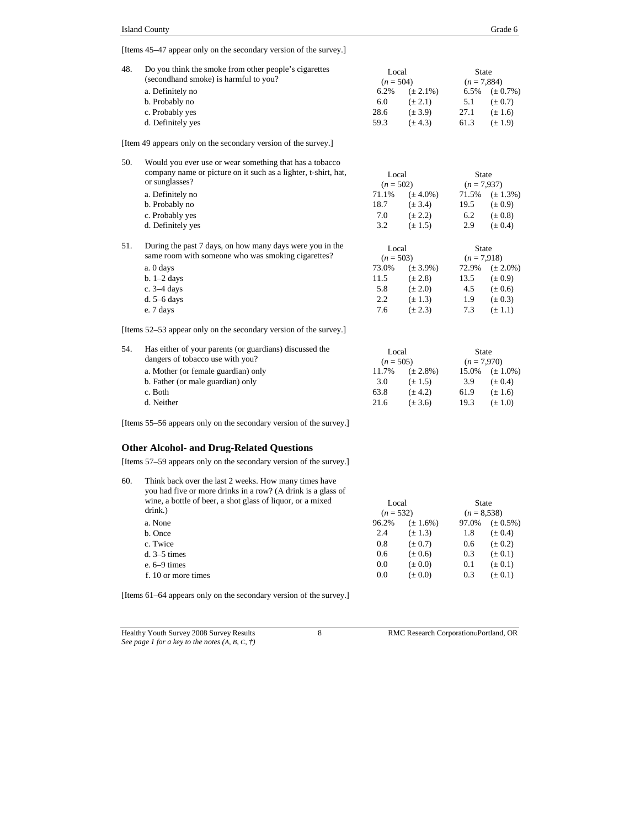[Items 45–47 appear only on the secondary version of the survey.]

| 48.          | Do you think the smoke from other people's cigarettes<br>(secondhand smoke) is harmful to you? | Local<br>$(n = 504)$ |               | <b>State</b><br>$(n = 7,884)$ |               |
|--------------|------------------------------------------------------------------------------------------------|----------------------|---------------|-------------------------------|---------------|
|              | a. Definitely no                                                                               | 6.2%                 | $(\pm 2.1\%)$ | 6.5%                          | $(\pm 0.7\%)$ |
|              | b. Probably no                                                                                 | 6.0                  | $(\pm 2.1)$   | 5.1                           | $(\pm 0.7)$   |
|              | c. Probably yes                                                                                | 28.6                 | $(\pm 3.9)$   | 27.1                          | $(\pm 1.6)$   |
|              | d. Definitely yes                                                                              | 59.3                 | $(\pm 4.3)$   | 61.3                          | $(\pm 1.9)$   |
| and the con- |                                                                                                |                      |               |                               |               |

[Item 49 appears only on the secondary version of the survey.]

| 50. | Would you ever use or wear something that has a tobacco<br>company name or picture on it such as a lighter, t-shirt, hat,<br>Local<br>State<br>or sunglasses?<br>$(n = 502)$ |                               |               |               |                   |  |  |  |
|-----|------------------------------------------------------------------------------------------------------------------------------------------------------------------------------|-------------------------------|---------------|---------------|-------------------|--|--|--|
|     |                                                                                                                                                                              |                               |               | $(n = 7.937)$ |                   |  |  |  |
|     | a. Definitely no                                                                                                                                                             | 71.1%                         | $(\pm 4.0\%)$ | 71.5%         | $(\pm 1.3\%)$     |  |  |  |
|     | b. Probably no                                                                                                                                                               | 18.7                          | $(\pm 3.4)$   | 19.5          | $(\pm 0.9)$       |  |  |  |
|     | c. Probably yes                                                                                                                                                              | 7.0                           | $(\pm 2.2)$   | 6.2           | $(\pm 0.8)$       |  |  |  |
|     | d. Definitely yes                                                                                                                                                            | 3.2                           | $(\pm 1.5)$   | 2.9           | $(\pm 0.4)$       |  |  |  |
| 51. | During the past 7 days, on how many days were you in the<br>same room with someone who was smoking cigarettes?                                                               | Local<br>$\sim$ $\sim$ $\sim$ |               | State         | $\sim$ 0.4 $\sim$ |  |  |  |

| same room with someone who was smoking cigarettes? | $(n = 503)$ |               | $(n = 7.918)$ |               |
|----------------------------------------------------|-------------|---------------|---------------|---------------|
| a. 0 days                                          | 73.0%       | $(\pm 3.9\%)$ | 72.9%         | $(\pm 2.0\%)$ |
| $b. 1-2$ days                                      | 11.5        | $(\pm 2.8)$   | 13.5          | $(\pm 0.9)$   |
| c. $3-4$ days                                      | 5.8         | $(\pm 2.0)$   | 4.5           | $(\pm 0.6)$   |
| d. $5-6$ days                                      | 2.2         | $(\pm 1.3)$   | 1.9           | $(\pm 0.3)$   |
| e. 7 days                                          | 7.6         | $(\pm 2.3)$   | 7.3           | $(\pm 1.1)$   |

[Items 52–53 appear only on the secondary version of the survey.]

| 54. | Has either of your parents (or guardians) discussed the<br>dangers of tobacco use with you? | Local<br>$(n = 505)$ |               | State<br>$(n = 7.970)$ |               |  |
|-----|---------------------------------------------------------------------------------------------|----------------------|---------------|------------------------|---------------|--|
|     | a. Mother (or female guardian) only                                                         | 11.7%                | $(\pm 2.8\%)$ | 15.0%                  | $(\pm 1.0\%)$ |  |
|     | b. Father (or male guardian) only                                                           | 3.0                  | $(\pm 1.5)$   | 3.9                    | $(\pm 0.4)$   |  |
|     | c. Both                                                                                     | 63.8                 | $(\pm 4.2)$   | 61.9                   | $(\pm 1.6)$   |  |
|     | d. Neither                                                                                  | 21.6                 | $(\pm 3.6)$   | 19.3                   | $(\pm 1.0)$   |  |

[Items 55–56 appears only on the secondary version of the survey.]

## **Other Alcohol- and Drug-Related Questions**

[Items 57–59 appears only on the secondary version of the survey.]

| 60. | Think back over the last 2 weeks. How many times have<br>you had five or more drinks in a row? (A drink is a glass of<br>wine, a bottle of beer, a shot glass of liquor, or a mixed<br>drink.) | Local<br>$(n = 532)$ |               | <b>State</b><br>$(n = 8,538)$ |               |
|-----|------------------------------------------------------------------------------------------------------------------------------------------------------------------------------------------------|----------------------|---------------|-------------------------------|---------------|
|     | a. None                                                                                                                                                                                        | 96.2%                | $(\pm 1.6\%)$ | 97.0%                         | $(\pm 0.5\%)$ |
|     | b. Once                                                                                                                                                                                        | 2.4                  | $(\pm 1.3)$   | 1.8                           | $(\pm 0.4)$   |
|     | c. Twice                                                                                                                                                                                       | 0.8                  | $(\pm 0.7)$   | 0.6                           | $(\pm 0.2)$   |
|     | $d. 3-5 \tmtext{ times}$                                                                                                                                                                       | 0.6                  | $(\pm 0.6)$   | 0.3                           | $(\pm 0.1)$   |
|     | e. $6-9$ times                                                                                                                                                                                 | 0.0                  | $(\pm 0.0)$   | 0.1                           | $(\pm 0.1)$   |
|     | f. 10 or more times                                                                                                                                                                            | 0.0                  | $(\pm 0.0)$   | 0.3                           | $(\pm 0.1)$   |

[Items 61–64 appears only on the secondary version of the survey.]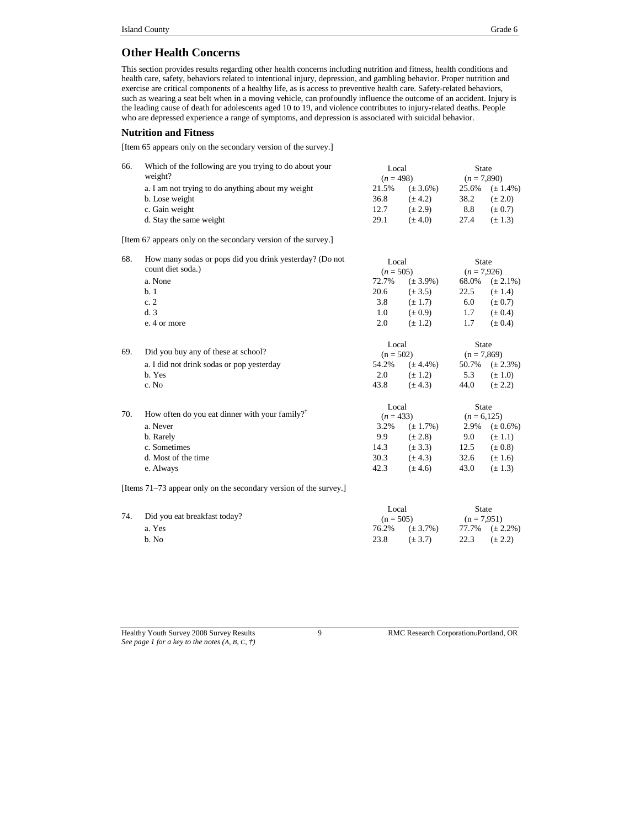## **Other Health Concerns**

This section provides results regarding other health concerns including nutrition and fitness, health conditions and health care, safety, behaviors related to intentional injury, depression, and gambling behavior. Proper nutrition and exercise are critical components of a healthy life, as is access to preventive health care. Safety-related behaviors, such as wearing a seat belt when in a moving vehicle, can profoundly influence the outcome of an accident. Injury is the leading cause of death for adolescents aged 10 to 19, and violence contributes to injury-related deaths. People who are depressed experience a range of symptoms, and depression is associated with suicidal behavior.

#### **Nutrition and Fitness**

[Item 65 appears only on the secondary version of the survey.]

| 66. | Which of the following are you trying to do about your<br>weight? | Local<br>$(n = 498)$ |               | <b>State</b><br>$(n = 7,890)$ |                     |
|-----|-------------------------------------------------------------------|----------------------|---------------|-------------------------------|---------------------|
|     | a. I am not trying to do anything about my weight                 | 21.5%                | $(\pm 3.6\%)$ | 25.6%                         | $(\pm 1.4\%)$       |
|     | b. Lose weight                                                    | 36.8                 | $(\pm 4.2)$   | 38.2                          | $(\pm 2.0)$         |
|     | c. Gain weight                                                    | 12.7                 | $(\pm 2.9)$   | 8.8                           | $(\pm 0.7)$         |
|     | d. Stay the same weight                                           | 29.1                 | $(\pm 4.0)$   | 27.4                          | $(\pm 1.3)$         |
|     | [Item 67 appears only on the secondary version of the survey.]    |                      |               |                               |                     |
| 68. | How many sodas or pops did you drink yesterday? (Do not           | Local                |               | <b>State</b>                  |                     |
|     | count diet soda.)                                                 | $(n = 505)$          |               | $(n = 7.926)$                 |                     |
|     | a. None                                                           | 72.7%                | $(\pm 3.9\%)$ | 68.0%                         | $(\pm 2.1\%)$       |
|     | b.1                                                               | 20.6                 | $(\pm 3.5)$   | 22.5                          | $(\pm 1.4)$         |
|     | c.2                                                               | 3.8                  | $(\pm 1.7)$   | 6.0                           | $(\pm 0.7)$         |
|     | d.3                                                               | 1.0                  | $(\pm 0.9)$   | 1.7                           | $(\pm 0.4)$         |
|     | e. 4 or more                                                      | 2.0                  | $(\pm 1.2)$   | 1.7                           | $(\pm 0.4)$         |
|     |                                                                   | Local                |               | <b>State</b>                  |                     |
| 69. | Did you buy any of these at school?                               | $(n = 502)$          |               | $(n = 7,869)$                 |                     |
|     | a. I did not drink sodas or pop yesterday                         | 54.2%                | $(\pm 4.4\%)$ |                               | 50.7% $(\pm 2.3\%)$ |
|     | b. Yes                                                            | 2.0                  | $(\pm 1.2)$   | 5.3                           | $(\pm 1.0)$         |
|     | c. No                                                             | 43.8                 | $(\pm 4.3)$   | 44.0                          | $(\pm 2.2)$         |
|     |                                                                   | Local                |               | <b>State</b>                  |                     |
| 70. | How often do you eat dinner with your family? <sup>†</sup>        | $(n = 433)$          |               | $(n = 6, 125)$                |                     |
|     | a. Never                                                          | 3.2%                 | $(\pm 1.7\%)$ | 2.9%                          | $(\pm 0.6\%)$       |
|     | b. Rarely                                                         | 9.9                  | $(\pm 2.8)$   | 9.0                           | $(\pm 1.1)$         |
|     | c. Sometimes                                                      | 14.3                 | $(\pm 3.3)$   | 12.5                          | $(\pm 0.8)$         |
|     | d. Most of the time                                               | 30.3                 | $(\pm 4.3)$   | 32.6                          | $(\pm 1.6)$         |
|     | e. Always                                                         | 42.3                 | $(\pm 4.6)$   | 43.0                          | $(\pm 1.3)$         |
|     |                                                                   |                      |               |                               |                     |

[Items 71–73 appear only on the secondary version of the survey.]

|  | 74. Did you eat breakfast today? |             | Local                  |                        | State |
|--|----------------------------------|-------------|------------------------|------------------------|-------|
|  |                                  | $(n = 505)$ |                        | $(n = 7.951)$          |       |
|  | a. Yes                           |             | $76.2\%$ $(\pm 3.7\%)$ | $77.7\%$ $(\pm 2.2\%)$ |       |
|  | b. No                            | 23.8        | $(\pm 3.7)$            | 22.3 $(\pm 2.2)$       |       |

Healthy Youth Survey 2008 Survey Results 9 RMC Research Corporation Portland, OR *See page 1 for a key to the notes (A, B, C, †)*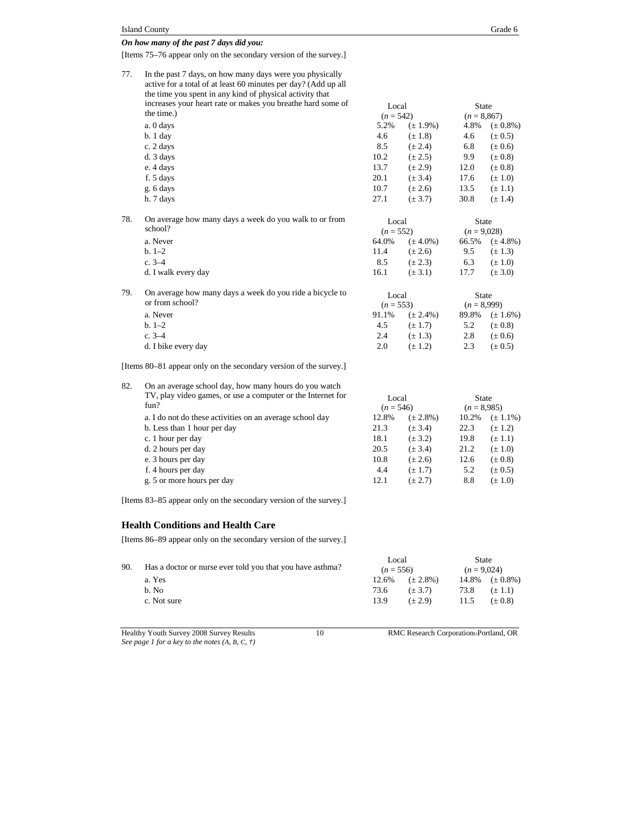[Items 75–76 appear only on the secondary version of the survey.]

| 77. | In the past 7 days, on how many days were you physically<br>active for a total of at least 60 minutes per day? (Add up all<br>the time you spent in any kind of physical activity that |             |               |               |               |
|-----|----------------------------------------------------------------------------------------------------------------------------------------------------------------------------------------|-------------|---------------|---------------|---------------|
|     | increases your heart rate or makes you breathe hard some of                                                                                                                            | Local       |               | <b>State</b>  |               |
|     | the time.)                                                                                                                                                                             | $(n = 542)$ |               | $(n = 8,867)$ |               |
|     | a. 0 days                                                                                                                                                                              | 5.2%        | $(\pm 1.9\%)$ | 4.8%          | $(\pm 0.8\%)$ |
|     | $b.1$ day                                                                                                                                                                              | 4.6         | $(\pm 1.8)$   | 4.6           | $(\pm 0.5)$   |
|     | c. 2 days                                                                                                                                                                              | 8.5         | $(\pm 2.4)$   | 6.8           | $(\pm 0.6)$   |
|     | d. 3 days                                                                                                                                                                              | 10.2        | $(\pm 2.5)$   | 9.9           | $(\pm 0.8)$   |
|     | e. 4 days                                                                                                                                                                              | 13.7        | $(\pm 2.9)$   | 12.0          | $(\pm 0.8)$   |
|     | f. 5 days                                                                                                                                                                              | 20.1        | $(\pm 3.4)$   | 17.6          | $(\pm 1.0)$   |
|     | g. 6 days                                                                                                                                                                              | 10.7        | $(\pm 2.6)$   | 13.5          | $(\pm 1.1)$   |
|     | h. 7 days                                                                                                                                                                              | 27.1        | $(\pm 3.7)$   | 30.8          | $(\pm 1.4)$   |
| 78. | On average how many days a week do you walk to or from                                                                                                                                 | Local       |               | State         |               |
|     | school?                                                                                                                                                                                | $(n = 552)$ |               | $(n=9.028)$   |               |
|     | a. Never                                                                                                                                                                               | 64.0%       | $(\pm 4.0\%)$ | 66.5%         | $(\pm 4.8\%)$ |
|     | $b. 1-2$                                                                                                                                                                               | 11.4        | $(\pm 2.6)$   | 9.5           | $(\pm 1.3)$   |
|     | $c. 3 - 4$                                                                                                                                                                             | 8.5         | $(\pm 2.3)$   | 6.3           | $(\pm 1.0)$   |
|     | d. I walk every day                                                                                                                                                                    | 16.1        | $(\pm 3.1)$   | 17.7          | $(\pm 3.0)$   |
| 79. | On average how many days a week do you ride a bicycle to                                                                                                                               | Local       |               | <b>State</b>  |               |
|     | or from school?                                                                                                                                                                        | $(n = 553)$ |               | $(n = 8,999)$ |               |
|     | a. Never                                                                                                                                                                               | 91.1%       | $(\pm 2.4\%)$ | 89.8%         | $(\pm 1.6\%)$ |
|     | $b. 1-2$                                                                                                                                                                               | 4.5         | $(\pm 1.7)$   | 5.2           | $(\pm 0.8)$   |
|     | $c. 3 - 4$                                                                                                                                                                             | 2.4         | $(\pm 1.3)$   | 2.8           | $(\pm 0.6)$   |
|     | d. I bike every day                                                                                                                                                                    | 2.0         | $(\pm 1.2)$   | 2.3           | $(\pm 0.5)$   |
|     |                                                                                                                                                                                        |             |               |               |               |

[Items 80–81 appear only on the secondary version of the survey.]

| 82. | On an average school day, how many hours do you watch               |                      |               |                        |               |
|-----|---------------------------------------------------------------------|----------------------|---------------|------------------------|---------------|
|     | TV, play video games, or use a computer or the Internet for<br>fun? | Local<br>$(n = 546)$ |               | State<br>$(n = 8.985)$ |               |
|     |                                                                     |                      |               |                        |               |
|     | a. I do not do these activities on an average school day            | 12.8%                | $(\pm 2.8\%)$ | 10.2%                  | $(\pm 1.1\%)$ |
|     | b. Less than 1 hour per day                                         | 21.3                 | $(\pm 3.4)$   | 22.3                   | $(\pm 1.2)$   |
|     | c. 1 hour per day                                                   | 18.1                 | $(\pm 3.2)$   | 19.8                   | $(\pm 1.1)$   |
|     | d. 2 hours per day                                                  | 20.5                 | $(\pm 3.4)$   | 21.2                   | $(\pm 1.0)$   |
|     | e. 3 hours per day                                                  | 10.8                 | $(\pm 2.6)$   | 12.6                   | $(\pm 0.8)$   |
|     | f. 4 hours per day                                                  | 4.4                  | $(\pm 1.7)$   | 5.2                    | $(\pm 0.5)$   |
|     | g. 5 or more hours per day                                          | 12.1                 | $(\pm 2.7)$   | 8.8                    | $(\pm 1.0)$   |
|     |                                                                     |                      |               |                        |               |

[Items 83–85 appear only on the secondary version of the survey.]

#### **Health Conditions and Health Care**

[Items 86–89 appear only on the secondary version of the survey.]

| 90. | Has a doctor or nurse ever told you that you have asthma? | Local<br>$(n = 556)$ |             | State<br>$(n = 9.024)$ |             |
|-----|-----------------------------------------------------------|----------------------|-------------|------------------------|-------------|
|     |                                                           |                      |             |                        |             |
|     | b. No                                                     | 73.6                 | $(\pm 3.7)$ | 73.8                   | $(\pm 1.1)$ |
|     | c. Not sure                                               | 13.9                 | $(\pm 2.9)$ | 11.5                   | $(\pm 0.8)$ |
|     |                                                           |                      |             |                        |             |

Healthy Youth Survey 2008 Survey Results 10 RMC Research Corporation Portland, OR *See page 1 for a key to the notes (A, B, C, †)*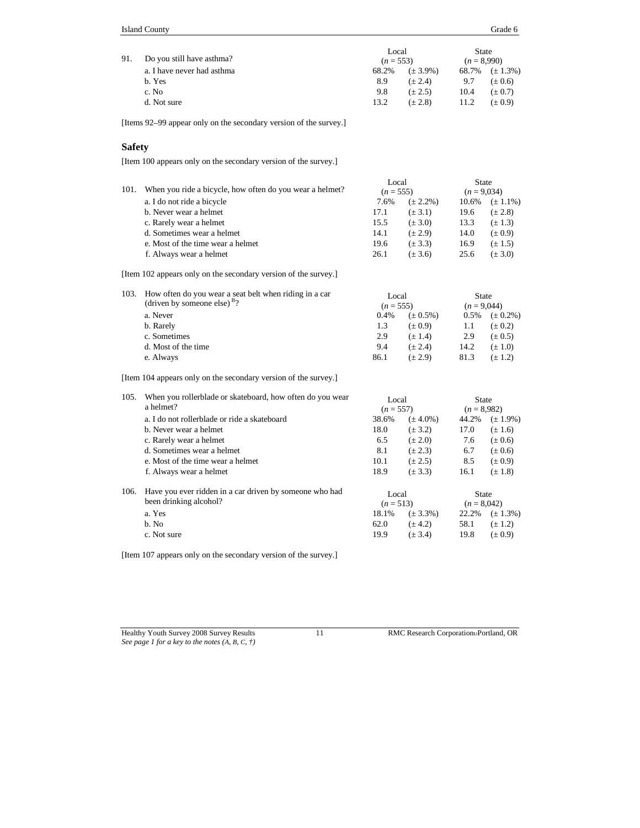| 91. | Do you still have asthma?  | Local<br>State<br>$(n = 8,990)$<br>$(n = 553)$ |               |      |                     |  |
|-----|----------------------------|------------------------------------------------|---------------|------|---------------------|--|
|     | a. I have never had asthma | 68.2%                                          | $(\pm 3.9\%)$ |      | 68.7% $(\pm 1.3\%)$ |  |
|     | b. Yes                     | 8.9                                            | $(\pm 2.4)$   | 9.7  | $(\pm 0.6)$         |  |
|     | c. No                      | 9.8                                            | $(\pm 2.5)$   | 10.4 | $(\pm 0.7)$         |  |
|     | d. Not sure                | 13.2                                           | $(\pm 2.8)$   | 11.2 | $(\pm 0.9)$         |  |

[Items 92–99 appear only on the secondary version of the survey.]

#### **Safety**

[Item 100 appears only on the secondary version of the survey.]

|      |                                                          | Local       |               | State         |               |
|------|----------------------------------------------------------|-------------|---------------|---------------|---------------|
| 101. | When you ride a bicycle, how often do you wear a helmet? | $(n = 555)$ |               | $(n = 9,034)$ |               |
|      | a. I do not ride a bicycle                               | 7.6%        | $(\pm 2.2\%)$ | 10.6%         | $(\pm 1.1\%)$ |
|      | b. Never wear a helmet                                   | 17.1        | $(\pm 3.1)$   | 19.6          | $(\pm 2.8)$   |
|      | c. Rarely wear a helmet                                  | 15.5        | $(\pm 3.0)$   | 13.3          | $(\pm 1.3)$   |
|      | d. Sometimes wear a helmet                               | 14.1        | $(\pm 2.9)$   | 14.0          | $(\pm 0.9)$   |
|      | e. Most of the time wear a helmet                        | 19.6        | $(\pm 3.3)$   | 16.9          | $(\pm 1.5)$   |
|      | f. Always wear a helmet                                  | 26.1        | $(\pm 3.6)$   | 25.6          | $(\pm 3.0)$   |

[Item 102 appears only on the secondary version of the survey.]

| 103. How often do you wear a seat belt when riding in a car<br>(driven by someone else) $B$ ? | Local<br>$(n = 555)$ |               | State<br>$(n = 9,044)$ |               |
|-----------------------------------------------------------------------------------------------|----------------------|---------------|------------------------|---------------|
| a. Never                                                                                      | 0.4%                 | $(\pm 0.5\%)$ | $0.5\%$                | $(\pm 0.2\%)$ |
| b. Rarely                                                                                     | 1.3                  | $(\pm 0.9)$   | 1.1                    | $(\pm 0.2)$   |
| c. Sometimes                                                                                  | 2.9                  | $(\pm 1.4)$   | 2.9                    | $(\pm 0.5)$   |
| d. Most of the time                                                                           | 9.4                  | $(\pm 2.4)$   | 14.2                   | $(\pm 1.0)$   |
| e. Always                                                                                     | 86.1                 | $(\pm 2.9)$   | 81.3                   | $(\pm 1.2)$   |

[Item 104 appears only on the secondary version of the survey.]

| 105. | When you rollerblade or skateboard, how often do you wear<br>a helmet?            | Local<br>$(n = 557)$ |               | State<br>$(n = 8.982)$ |               |
|------|-----------------------------------------------------------------------------------|----------------------|---------------|------------------------|---------------|
|      | a. I do not rollerblade or ride a skateboard                                      | 38.6%                | $(\pm 4.0\%)$ | 44.2%                  | $(\pm 1.9\%)$ |
|      | b. Never wear a helmet                                                            | 18.0                 | $(\pm 3.2)$   | 17.0                   | $(\pm 1.6)$   |
|      | c. Rarely wear a helmet                                                           | 6.5                  | $(\pm 2.0)$   | 7.6                    | $(\pm 0.6)$   |
|      | d. Sometimes wear a helmet                                                        | 8.1                  | $(\pm 2.3)$   | 6.7                    | $(\pm 0.6)$   |
|      | e. Most of the time wear a helmet                                                 | 10.1                 | $(\pm 2.5)$   | 8.5                    | $(\pm 0.9)$   |
|      | f. Always wear a helmet                                                           | 18.9                 | $(\pm 3.3)$   | 16.1                   | $(\pm 1.8)$   |
| 106. | Have you ever ridden in a car driven by someone who had<br>been drinking alcohol? | Local<br>$(n = 513)$ |               | State<br>$(n = 8,042)$ |               |
|      | a. Yes                                                                            | 18.1%                | $(\pm 3.3\%)$ | 22.2%                  | $(\pm 1.3\%)$ |
|      | b. No                                                                             | 62.0                 | $(\pm 4.2)$   | 58.1                   | $(\pm 1.2)$   |
|      | c. Not sure                                                                       | 19.9                 | $(\pm 3.4)$   | 19.8                   | $(\pm 0.9)$   |

[Item 107 appears only on the secondary version of the survey.]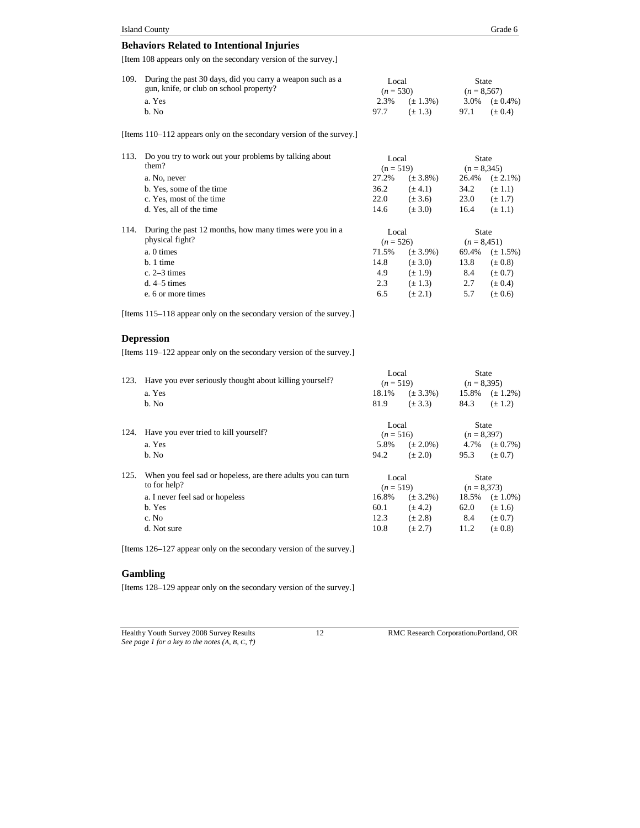| 109. During the past 30 days, did you carry a weapon such as a<br>gun, knife, or club on school property? |      | Local<br>$(n = 530)$ |      | State<br>$(n = 8.567)$ |  |
|-----------------------------------------------------------------------------------------------------------|------|----------------------|------|------------------------|--|
| a. Yes                                                                                                    |      | $2.3\%$ $(+1.3\%)$   |      | 3.0\% $(\pm 0.4\%)$    |  |
| b. No                                                                                                     | 97.7 | $(+1.3)$             | 97.1 | $(+ 0.4)$              |  |

[Items 110–112 appears only on the secondary version of the survey.]

| 113. | Do you try to work out your problems by talking about   | Local       |               | <b>State</b>  |               |
|------|---------------------------------------------------------|-------------|---------------|---------------|---------------|
|      | them?                                                   | $(n = 519)$ |               | $(n = 8,345)$ |               |
|      | a. No, never                                            | 27.2%       | $(\pm 3.8\%)$ | 26.4%         | $(\pm 2.1\%)$ |
|      | b. Yes, some of the time                                | 36.2        | $(\pm 4.1)$   | 34.2          | $(\pm 1.1)$   |
|      | c. Yes, most of the time                                | 22.0        | $(\pm 3.6)$   | 23.0          | $(\pm 1.7)$   |
|      | d. Yes, all of the time                                 | 14.6        | $(\pm 3.0)$   | 16.4          | $(\pm 1.1)$   |
| 114. | During the past 12 months, how many times were you in a | Local       |               | <b>State</b>  |               |
|      | physical fight?                                         | $(n = 526)$ |               | $(n = 8,451)$ |               |
|      | a. 0 times                                              | 71.5%       | $(\pm 3.9\%)$ | 69.4%         | $(\pm 1.5\%)$ |
|      | $b.1$ time                                              | 14.8        | $(\pm 3.0)$   | 13.8          | $(\pm 0.8)$   |
|      | c. $2-3$ times                                          | 4.9         | $(\pm 1.9)$   | 8.4           | $(\pm 0.7)$   |
|      | $d. 4-5 \tmtext{ times}$                                | 2.3         | $(\pm 1.3)$   | 2.7           | $(\pm 0.4)$   |
|      | e. 6 or more times                                      | 6.5         | $(\pm 2.1)$   | 5.7           | $(\pm 0.6)$   |

[Items 115–118 appear only on the secondary version of the survey.]

#### **Depression**

[Items 119–122 appear only on the secondary version of the survey.]

|      |                                                                       | Local       |               | <b>State</b>  |                    |  |
|------|-----------------------------------------------------------------------|-------------|---------------|---------------|--------------------|--|
| 123. | Have you ever seriously thought about killing yourself?               |             | $(n=519)$     |               | $(n = 8,395)$      |  |
|      | a. Yes                                                                | 18.1%       | $(\pm 3.3\%)$ | 15.8%         | $(\pm 1.2\%)$      |  |
|      | b. No                                                                 | 81.9        | $(\pm 3.3)$   | 84.3          | $(\pm 1.2)$        |  |
|      |                                                                       | Local       |               | State         |                    |  |
| 124. | Have you ever tried to kill yourself?                                 | $(n = 516)$ |               | $(n = 8,397)$ |                    |  |
|      | a. Yes                                                                | 5.8%        | $(\pm 2.0\%)$ |               | 4.7% $(\pm 0.7\%)$ |  |
|      | b. No                                                                 | 94.2        | $(\pm 2.0)$   | 95.3          | $(\pm 0.7)$        |  |
| 125. | When you feel sad or hopeless, are there adults you can turn<br>Local |             |               | <b>State</b>  |                    |  |
|      | to for help?                                                          |             | $(n=519)$     |               | $(n = 8,373)$      |  |
|      | a. I never feel sad or hopeless                                       | 16.8%       | $(\pm 3.2\%)$ | 18.5%         | $(\pm 1.0\%)$      |  |
|      | b. Yes                                                                | 60.1        | $(\pm 4.2)$   | 62.0          | $(\pm 1.6)$        |  |
|      | c. No                                                                 | 12.3        | $(\pm 2.8)$   | 8.4           | $(\pm 0.7)$        |  |
|      | d. Not sure                                                           | 10.8        | $(\pm 2.7)$   | 11.2          | $(\pm 0.8)$        |  |

[Items 126–127 appear only on the secondary version of the survey.]

#### **Gambling**

[Items 128–129 appear only on the secondary version of the survey.]

Healthy Youth Survey 2008 Survey Results 12 RMC Research Corporation Portland, OR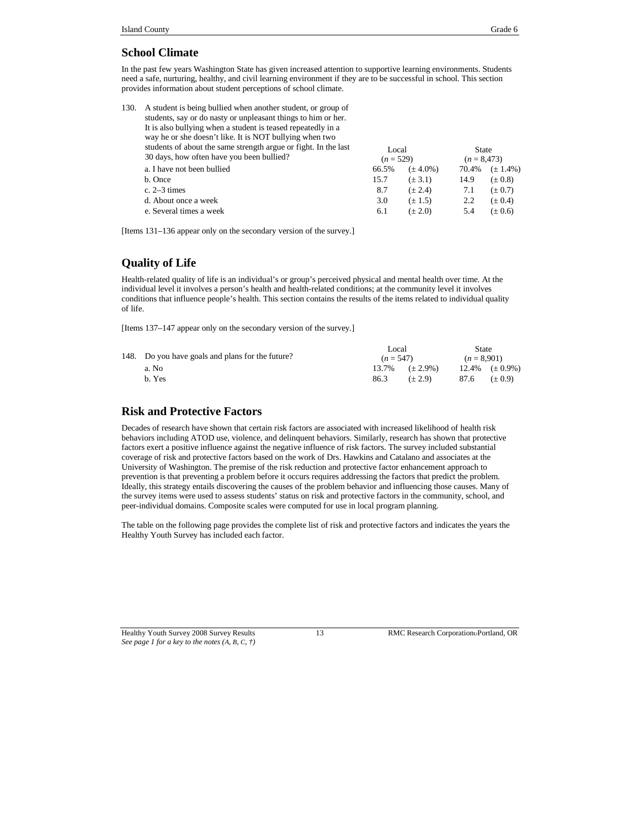#### **School Climate**

In the past few years Washington State has given increased attention to supportive learning environments. Students need a safe, nurturing, healthy, and civil learning environment if they are to be successful in school. This section provides information about student perceptions of school climate.

| 130. | A student is being bullied when another student, or group of<br>students, say or do nasty or unpleasant things to him or her.<br>It is also bullying when a student is teased repeatedly in a |                      |               |                               |               |
|------|-----------------------------------------------------------------------------------------------------------------------------------------------------------------------------------------------|----------------------|---------------|-------------------------------|---------------|
|      | way he or she doesn't like. It is NOT bullying when two                                                                                                                                       |                      |               |                               |               |
|      | students of about the same strength argue or fight. In the last<br>30 days, how often have you been bullied?                                                                                  | Local<br>$(n = 529)$ |               | <b>State</b><br>$(n = 8,473)$ |               |
|      | a. I have not been bullied                                                                                                                                                                    | 66.5%                | $(\pm 4.0\%)$ | 70.4%                         | $(\pm 1.4\%)$ |
|      | b. Once                                                                                                                                                                                       | 15.7                 | $(\pm 3.1)$   | 14.9                          | $(\pm 0.8)$   |
|      | c. $2-3$ times                                                                                                                                                                                | 8.7                  | $(\pm 2.4)$   | 7.1                           | $(\pm 0.7)$   |
|      | d. About once a week                                                                                                                                                                          | 3.0                  | $(\pm 1.5)$   | 2.2                           | $(\pm 0.4)$   |
|      | e. Several times a week                                                                                                                                                                       | 6.1                  | $(\pm 2.0)$   | 5.4                           | $(\pm 0.6)$   |
|      |                                                                                                                                                                                               |                      |               |                               |               |

[Items 131–136 appear only on the secondary version of the survey.]

# **Quality of Life**

Health-related quality of life is an individual's or group's perceived physical and mental health over time. At the individual level it involves a person's health and health-related conditions; at the community level it involves conditions that influence people's health. This section contains the results of the items related to individual quality of life.

[Items 137–147 appear only on the secondary version of the survey.]

|                                                  |             | Local               |               |                        |
|--------------------------------------------------|-------------|---------------------|---------------|------------------------|
| 148. Do you have goals and plans for the future? | $(n = 547)$ |                     | $(n = 8.901)$ |                        |
| a. No                                            |             | $13.7\%$ $(+2.9\%)$ |               | $12.4\%$ $(\pm 0.9\%)$ |
| b. Yes                                           | 86.3        | $(+ 2.9)$           |               | $87.6 \t\t(\pm 0.9)$   |

#### **Risk and Protective Factors**

Decades of research have shown that certain risk factors are associated with increased likelihood of health risk behaviors including ATOD use, violence, and delinquent behaviors. Similarly, research has shown that protective factors exert a positive influence against the negative influence of risk factors. The survey included substantial coverage of risk and protective factors based on the work of Drs. Hawkins and Catalano and associates at the University of Washington. The premise of the risk reduction and protective factor enhancement approach to prevention is that preventing a problem before it occurs requires addressing the factors that predict the problem. Ideally, this strategy entails discovering the causes of the problem behavior and influencing those causes. Many of the survey items were used to assess students' status on risk and protective factors in the community, school, and peer-individual domains. Composite scales were computed for use in local program planning.

The table on the following page provides the complete list of risk and protective factors and indicates the years the Healthy Youth Survey has included each factor.

Healthy Youth Survey 2008 Survey Results 13 RMC Research CorporationPortland, OR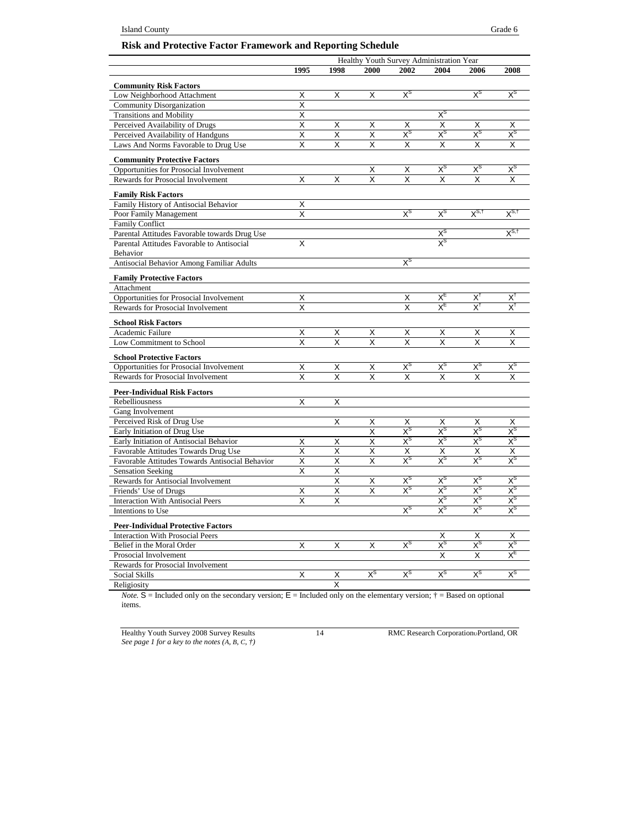## **Risk and Protective Factor Framework and Reporting Schedule**

|                                                 |      |      |                       |                                 | Healthy Youth Survey Administration Year |                           |                                 |  |
|-------------------------------------------------|------|------|-----------------------|---------------------------------|------------------------------------------|---------------------------|---------------------------------|--|
|                                                 | 1995 | 1998 | 2000                  | 2002                            | 2004                                     | 2006                      | 2008                            |  |
| <b>Community Risk Factors</b>                   |      |      |                       |                                 |                                          |                           |                                 |  |
| Low Neighborhood Attachment                     | X    | X    | X                     | $X^{\rm S}$                     |                                          | $X^{\rm S}$               | $X^{\rm S}$                     |  |
| Community Disorganization                       | X    |      |                       |                                 |                                          |                           |                                 |  |
| <b>Transitions and Mobility</b>                 | X    |      |                       |                                 | $X^{\rm S}$                              |                           |                                 |  |
| Perceived Availability of Drugs                 | X    | X    | X                     | Х                               | X                                        | Х                         | х                               |  |
| Perceived Availability of Handguns              | Χ    | X    | X                     | $X^{\rm S}$                     | $\mathsf{X}^{\operatorname{s}}$          | $X^{\rm S}$               | $\mathsf{x}^{\mathsf{s}}$       |  |
| Laws And Norms Favorable to Drug Use            | X    | X    | X                     | X                               | X                                        | X                         | X                               |  |
|                                                 |      |      |                       |                                 |                                          |                           |                                 |  |
| <b>Community Protective Factors</b>             |      |      |                       |                                 |                                          |                           |                                 |  |
| Opportunities for Prosocial Involvement         |      |      | Χ                     | X                               | $X^{\rm S}$                              | $X^{\rm S}$               | $\mathsf{X}^{\operatorname{S}}$ |  |
| Rewards for Prosocial Involvement               | Χ    | Χ    | X                     | X                               | X                                        | X                         | X                               |  |
| <b>Family Risk Factors</b>                      |      |      |                       |                                 |                                          |                           |                                 |  |
| Family History of Antisocial Behavior           | Χ    |      |                       |                                 |                                          |                           |                                 |  |
| Poor Family Management                          | X    |      |                       | $X^{\rm s}$                     | $X^{\rm S}$                              | $X^{S, \dagger}$          | $X^{S,\dagger}$                 |  |
| <b>Family Conflict</b>                          |      |      |                       |                                 |                                          |                           |                                 |  |
| Parental Attitudes Favorable towards Drug Use   |      |      |                       |                                 | $X^{\rm S}$                              |                           | $X^{S,\dagger}$                 |  |
| Parental Attitudes Favorable to Antisocial      | X    |      |                       |                                 | $\mathsf{X}^{\mathsf{S}}$                |                           |                                 |  |
| Behavior                                        |      |      |                       |                                 |                                          |                           |                                 |  |
| Antisocial Behavior Among Familiar Adults       |      |      |                       | $\mathsf{X}^{\texttt{S}}$       |                                          |                           |                                 |  |
| <b>Family Protective Factors</b>                |      |      |                       |                                 |                                          |                           |                                 |  |
| Attachment                                      |      |      |                       |                                 |                                          |                           |                                 |  |
| Opportunities for Prosocial Involvement         | Χ    |      |                       | Χ                               | $X_{E}$                                  | $X^{\dagger}$             | $X^{\dagger}$                   |  |
| Rewards for Prosocial Involvement               | Χ    |      |                       | Χ                               | $X_{E}$                                  | $\mathsf{X}^\dagger$      | $X^{\dagger}$                   |  |
|                                                 |      |      |                       |                                 |                                          |                           |                                 |  |
| <b>School Risk Factors</b><br>Academic Failure  | Χ    | Χ    | Χ                     | Χ                               | Χ                                        | Χ                         | Χ                               |  |
| Low Commitment to School                        | X    | х    | X                     | X                               | X                                        | X                         | X                               |  |
|                                                 |      |      |                       |                                 |                                          |                           |                                 |  |
| <b>School Protective Factors</b>                |      |      |                       |                                 |                                          |                           |                                 |  |
| Opportunities for Prosocial Involvement         | X    | X    | X                     | $X^{\rm S}$                     | $X^{\rm S}$                              | $X^{\rm S}$               | $\mathsf{X}^{\mathsf{s}}$       |  |
| Rewards for Prosocial Involvement               | X    | X    | X                     | x                               | x                                        | x                         | x                               |  |
| <b>Peer-Individual Risk Factors</b>             |      |      |                       |                                 |                                          |                           |                                 |  |
| Rebelliousness                                  | Χ    | Χ    |                       |                                 |                                          |                           |                                 |  |
| Gang Involvement                                |      |      |                       |                                 |                                          |                           |                                 |  |
| Perceived Risk of Drug Use                      |      | Χ    | Χ                     | Χ                               | Χ                                        | Χ                         | Х                               |  |
| Early Initiation of Drug Use                    |      |      | Χ                     | $X^{\mathsf{S}}$                | $X^{\text{S}}$                           | $X^{\text{S}}$            | $X^{\text{S}}$                  |  |
| Early Initiation of Antisocial Behavior         | Х    | X    | X                     | $\chi_{\rm 2}$                  | $\mathsf{X}^{\operatorname{S}}$          | χs                        | $\mathsf{X}^\mathsf{S}$         |  |
| Favorable Attitudes Towards Drug Use            | Χ    | Χ    | Χ                     | Χ                               | Χ                                        | X                         | Χ                               |  |
| Favorable Attitudes Towards Antisocial Behavior | Χ    | Χ    | X                     | $X^{\rm S}$                     | $X^{\rm S}$                              | $\mathsf{X}^{\mathsf{S}}$ | $\mathsf{X}^{\mathtt{S}}$       |  |
| <b>Sensation Seeking</b>                        | Χ    | Χ    |                       |                                 |                                          |                           |                                 |  |
| Rewards for Antisocial Involvement              |      | x    | X                     | $X^{\rm S}$                     | $X^{\rm S}$                              | $X^{\rm S}$               | $X^{\rm S}$                     |  |
| Friends' Use of Drugs                           | Х    | Х    | Χ                     | $\mathsf{X}^{\operatorname{s}}$ | $X^{\rm S}$                              | $\times^{\mathrm{s}}$     | $x^{\rm s}$                     |  |
| <b>Interaction With Antisocial Peers</b>        | X    | Χ    |                       |                                 | $X^{\text{S}}$                           | $\mathsf{X}^{\mathsf{S}}$ | $\mathsf{X}^{\mathsf{S}}$       |  |
| Intentions to Use                               |      |      |                       | $\mathsf{X}^{\operatorname{S}}$ | $X^{\rm S}$                              | $\mathsf{X}^{\mathsf{S}}$ | $\times^{\rm s}$                |  |
| <b>Peer-Individual Protective Factors</b>       |      |      |                       |                                 |                                          |                           |                                 |  |
| <b>Interaction With Prosocial Peers</b>         |      |      |                       |                                 | Χ                                        | X                         | Χ                               |  |
| Belief in the Moral Order                       | Χ    | X    | Χ                     | $X^{\rm S}$                     | $X^{\rm S}$                              | $X^{\rm s}$               | $\mathsf{X}^{\mathsf{S}}$       |  |
| Prosocial Involvement                           |      |      |                       |                                 | X                                        | X                         | $X_{\text{E}}$                  |  |
| Rewards for Prosocial Involvement               |      |      |                       |                                 |                                          |                           |                                 |  |
| Social Skills                                   | X    | Χ    | $\times^{\mathrm{s}}$ | $\mathsf{X}^{\mathsf{S}}$       | $\mathsf{X}^{\mathsf{S}}$                | $\mathsf{X}^{\mathsf{S}}$ | $x^s$                           |  |
| Religiosity                                     |      | X    |                       |                                 |                                          |                           |                                 |  |

*Note.*  $S =$  Included only on the secondary version;  $E =$  Included only on the elementary version;  $\dagger =$  Based on optional items.

Healthy Youth Survey 2008 Survey Results 14 RMC Research Corporation Portland, OR *See page 1 for a key to the notes (A, B, C, †)*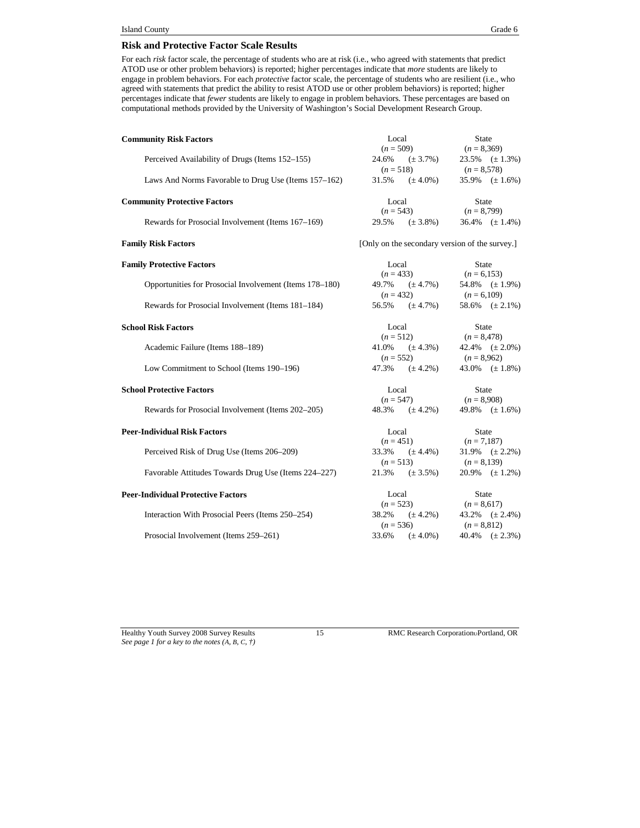#### **Risk and Protective Factor Scale Results**

For each *risk* factor scale, the percentage of students who are at risk (i.e., who agreed with statements that predict ATOD use or other problem behaviors) is reported; higher percentages indicate that *more* students are likely to engage in problem behaviors. For each *protective* factor scale, the percentage of students who are resilient (i.e., who agreed with statements that predict the ability to resist ATOD use or other problem behaviors) is reported; higher percentages indicate that *fewer* students are likely to engage in problem behaviors. These percentages are based on computational methods provided by the University of Washington's Social Development Research Group.

| <b>Community Risk Factors</b>                           | Local                                          | <b>State</b>                            |  |
|---------------------------------------------------------|------------------------------------------------|-----------------------------------------|--|
|                                                         | $(n = 509)$                                    | $(n = 8,369)$                           |  |
| Perceived Availability of Drugs (Items 152–155)         | 24.6%                                          | 23.5% $(\pm 1.3\%)$<br>$(\pm 3.7\%)$    |  |
|                                                         | $(n = 518)$                                    | $(n = 8,578)$                           |  |
| Laws And Norms Favorable to Drug Use (Items 157–162)    | 31.5%                                          | $(\pm 4.0\%)$<br>35.9% $(\pm 1.6\%)$    |  |
| <b>Community Protective Factors</b>                     | Local                                          | State                                   |  |
|                                                         | $(n = 543)$                                    | $(n = 8,799)$                           |  |
| Rewards for Prosocial Involvement (Items 167-169)       | 29.5%<br>$(\pm 3.8\%)$                         | 36.4% $(\pm 1.4\%)$                     |  |
| <b>Family Risk Factors</b>                              | [Only on the secondary version of the survey.] |                                         |  |
| <b>Family Protective Factors</b>                        | Local                                          | <b>State</b>                            |  |
|                                                         | $(n = 433)$                                    | $(n = 6, 153)$                          |  |
| Opportunities for Prosocial Involvement (Items 178–180) | 49.7%                                          | $(\pm 4.7\%)$<br>54.8% $(\pm 1.9\%)$    |  |
|                                                         | $(n = 432)$                                    | $(n = 6,109)$                           |  |
| Rewards for Prosocial Involvement (Items 181-184)       | 56.5%                                          | $(\pm 4.7\%)$<br>58.6% $(\pm 2.1\%)$    |  |
| <b>School Risk Factors</b>                              | Local                                          | State                                   |  |
|                                                         | $(n = 512)$                                    | $(n = 8,478)$                           |  |
| Academic Failure (Items 188-189)                        | 41.0%                                          | $(\pm 4.3\%)$<br>42.4% $(\pm 2.0\%)$    |  |
|                                                         | $(n = 552)$                                    | $(n = 8,962)$                           |  |
| Low Commitment to School (Items 190–196)                | 47.3%<br>$(\pm 4.2\%)$                         | 43.0% $(\pm 1.8\%)$                     |  |
| <b>School Protective Factors</b>                        | Local                                          | <b>State</b>                            |  |
|                                                         | $(n = 547)$                                    | $(n = 8,908)$                           |  |
| Rewards for Prosocial Involvement (Items 202-205)       | $(\pm 4.2\%)$<br>48.3%                         | 49.8% $(\pm 1.6\%)$                     |  |
| <b>Peer-Individual Risk Factors</b>                     | Local                                          | State                                   |  |
|                                                         | $(n = 451)$                                    | $(n = 7,187)$                           |  |
| Perceived Risk of Drug Use (Items 206-209)              | 33.3%                                          | $(\pm 4.4\%)$<br>$31.9\%$ (± 2.2%)      |  |
|                                                         | $(n = 513)$                                    | $(n = 8,139)$                           |  |
| Favorable Attitudes Towards Drug Use (Items 224–227)    | 21.3%<br>$(\pm 3.5\%)$                         | $20.9\%$ ( $\pm$ 1.2%)                  |  |
| <b>Peer-Individual Protective Factors</b>               | Local                                          | <b>State</b>                            |  |
|                                                         | $(n = 523)$                                    | $(n = 8,617)$                           |  |
| Interaction With Prosocial Peers (Items 250–254)        | 38.2%                                          | $43.2\%$ $(\pm 2.4\%)$<br>$(\pm 4.2\%)$ |  |
|                                                         | $(n = 536)$                                    | $(n = 8,812)$                           |  |
| Prosocial Involvement (Items 259-261)                   | 33.6%<br>$(\pm 4.0\%)$                         | $40.4\%$ $(\pm 2.3\%)$                  |  |

*See page 1 for a key to the notes (A, B, C, †)*

Healthy Youth Survey 2008 Survey Results 15 RMC Research Corporation Portland, OR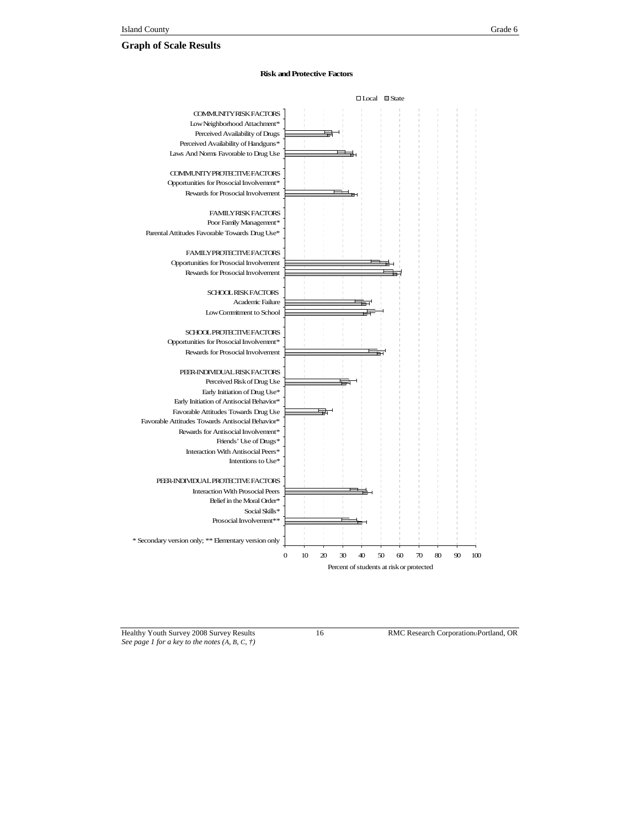# **Graph of Scale Results**

#### **Risk andProtective Factors**



Healthy Youth Survey 2008 Survey Results 16 RMC Research Corporation Portland, OR *See page 1 for a key to the notes (A, B, C, †)*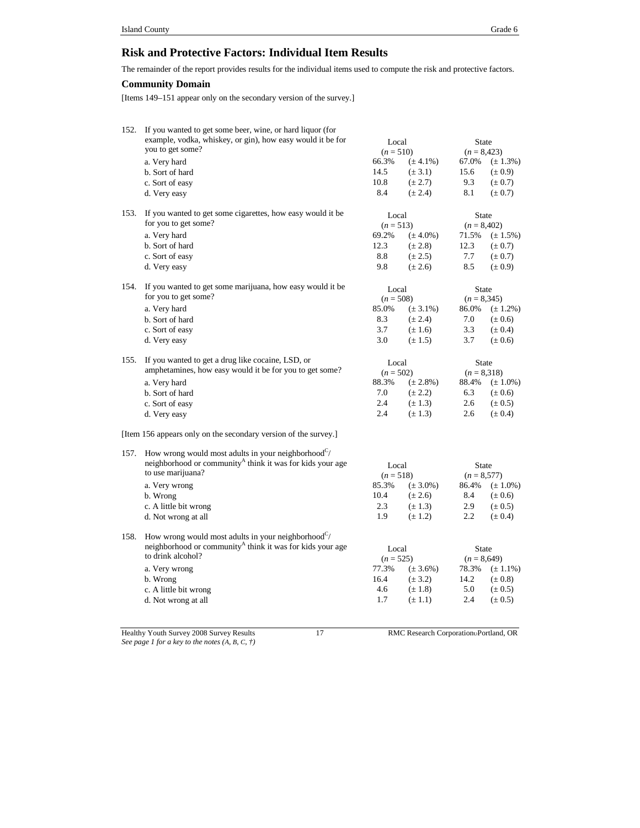# **Risk and Protective Factors: Individual Item Results**

The remainder of the report provides results for the individual items used to compute the risk and protective factors.

## **Community Domain**

[Items 149–151 appear only on the secondary version of the survey.]

| 152. | If you wanted to get some beer, wine, or hard liquor (for<br>example, vodka, whiskey, or gin), how easy would it be for | Local       |               | <b>State</b>  |               |
|------|-------------------------------------------------------------------------------------------------------------------------|-------------|---------------|---------------|---------------|
|      | you to get some?                                                                                                        | $(n = 510)$ |               | $(n = 8,423)$ |               |
|      | a. Very hard                                                                                                            | 66.3%       | $(\pm 4.1\%)$ | 67.0%         | $(\pm 1.3\%)$ |
|      | b. Sort of hard                                                                                                         | 14.5        | $(\pm 3.1)$   | 15.6          | $(\pm 0.9)$   |
|      | c. Sort of easy                                                                                                         | 10.8        | $(\pm 2.7)$   | 9.3           | $(\pm 0.7)$   |
|      | d. Very easy                                                                                                            | 8.4         | $(\pm 2.4)$   | 8.1           | $(\pm 0.7)$   |
| 153. | If you wanted to get some cigarettes, how easy would it be.                                                             | Local       |               | <b>State</b>  |               |
|      | for you to get some?                                                                                                    | $(n = 513)$ |               | $(n = 8,402)$ |               |
|      | a. Very hard                                                                                                            | 69.2%       | $(\pm 4.0\%)$ | 71.5%         | $(\pm 1.5\%)$ |
|      | b. Sort of hard                                                                                                         | 12.3        | $(\pm 2.8)$   | 12.3          | $(\pm 0.7)$   |
|      | c. Sort of easy                                                                                                         | 8.8         | $(\pm 2.5)$   | 7.7           | $(\pm 0.7)$   |
|      | d. Very easy                                                                                                            | 9.8         | $(\pm 2.6)$   | 8.5           | $(\pm 0.9)$   |
| 154. | If you wanted to get some marijuana, how easy would it be                                                               | Local       |               | State         |               |
|      | for you to get some?                                                                                                    |             |               |               |               |
|      |                                                                                                                         | $(n = 508)$ |               | $(n = 8,345)$ |               |
|      | a. Very hard                                                                                                            | 85.0%       | $(\pm 3.1\%)$ | 86.0%         | $(\pm 1.2\%)$ |
|      | b. Sort of hard                                                                                                         | 8.3         | $(\pm 2.4)$   | 7.0           | $(\pm 0.6)$   |
|      | c. Sort of easy                                                                                                         | 3.7         | $(\pm 1.6)$   | 3.3           | $(\pm 0.4)$   |
|      | d. Very easy                                                                                                            | 3.0         | $(\pm 1.5)$   | 3.7           | $(\pm 0.6)$   |
| 155. | If you wanted to get a drug like cocaine, LSD, or                                                                       | Local       |               | State         |               |
|      | amphetamines, how easy would it be for you to get some?                                                                 | $(n = 502)$ |               | $(n = 8,318)$ |               |
|      | a. Very hard                                                                                                            | 88.3%       | $(\pm 2.8\%)$ | 88.4%         | $(\pm 1.0\%)$ |
|      | b. Sort of hard                                                                                                         | 7.0         | $(\pm 2.2)$   | 6.3           | $(\pm 0.6)$   |
|      | c. Sort of easy                                                                                                         | 2.4         | $(\pm 1.3)$   | 2.6           | $(\pm 0.5)$   |
|      | d. Very easy                                                                                                            | 2.4         | $(\pm 1.3)$   | 2.6           | $(\pm 0.4)$   |
|      | [Item 156 appears only on the secondary version of the survey.]                                                         |             |               |               |               |
| 157. | How wrong would most adults in your neighborhood <sup>C</sup> /                                                         |             |               |               |               |
|      | neighborhood or community <sup>A</sup> think it was for kids your age                                                   | Local       |               | State         |               |
|      | to use marijuana?                                                                                                       | $(n = 518)$ |               | $(n = 8,577)$ |               |
|      | a. Very wrong                                                                                                           | 85.3%       | $(\pm 3.0\%)$ | 86.4%         | $(\pm 1.0\%)$ |
|      | b. Wrong                                                                                                                | 10.4        | $(\pm 2.6)$   | 8.4           | $(\pm 0.6)$   |
|      | c. A little bit wrong                                                                                                   | 2.3         | $(\pm 1.3)$   | 2.9           | $(\pm 0.5)$   |
|      | d. Not wrong at all                                                                                                     | 1.9         | $(\pm 1.2)$   | 2.2           | $(\pm 0.4)$   |
| 158. | How wrong would most adults in your neighborhood $\sim$                                                                 |             |               |               |               |
|      | neighborhood or community <sup>A</sup> think it was for kids your age                                                   | Local       |               | State         |               |
|      | to drink alcohol?                                                                                                       | $(n = 525)$ |               | $(n = 8,649)$ |               |
|      | a. Very wrong                                                                                                           | 77.3%       | $(\pm 3.6\%)$ | 78.3%         | $(\pm 1.1\%)$ |
|      |                                                                                                                         | 16.4        | $(\pm 3.2)$   | 14.2          | $(\pm 0.8)$   |
|      | b. Wrong                                                                                                                | 4.6         |               | 5.0           |               |
|      | c. A little bit wrong                                                                                                   |             | $(\pm 1.8)$   |               | $(\pm 0.5)$   |
|      | d. Not wrong at all                                                                                                     | 1.7         | $(\pm 1.1)$   | 2.4           | $(\pm 0.5)$   |
|      |                                                                                                                         |             |               |               |               |

*See page 1 for a key to the notes (A, B, C, †)*

Healthy Youth Survey 2008 Survey Results 17 RMC Research CorporationPortland, OR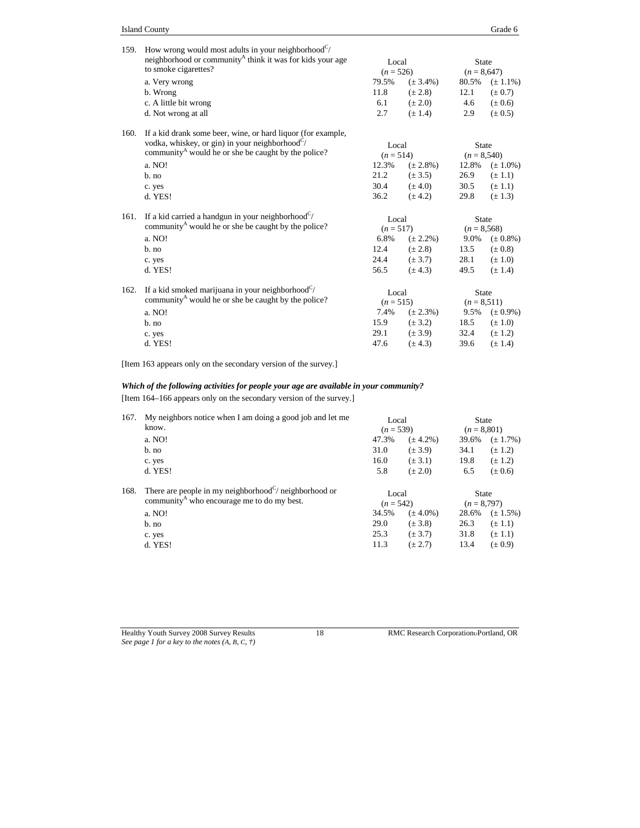| 159. | How wrong would most adults in your neighborhood $\mathcal{C}/$<br>neighborhood or community <sup>A</sup> think it was for kids your age | Local       |               | <b>State</b>   |                     |
|------|------------------------------------------------------------------------------------------------------------------------------------------|-------------|---------------|----------------|---------------------|
|      | to smoke cigarettes?                                                                                                                     | $(n = 526)$ |               | $(n = 8,647)$  |                     |
|      | a. Very wrong                                                                                                                            | 79.5%       | $(\pm 3.4\%)$ | 80.5%          | $(\pm 1.1\%)$       |
|      | b. Wrong                                                                                                                                 | 11.8        | $(\pm 2.8)$   | 12.1           | $(\pm 0.7)$         |
|      | c. A little bit wrong                                                                                                                    | 6.1         | $(\pm 2.0)$   | 4.6            | $(\pm 0.6)$         |
|      | d. Not wrong at all                                                                                                                      | 2.7         | $(\pm 1.4)$   | 2.9            | $(\pm 0.5)$         |
| 160. | If a kid drank some beer, wine, or hard liquor (for example,                                                                             |             |               |                |                     |
|      | vodka, whiskey, or gin) in your neighborhood <sup><math>C/</math></sup>                                                                  | Local       |               | <b>State</b>   |                     |
|      | community <sup>A</sup> would he or she be caught by the police?                                                                          | $(n = 514)$ |               | $(n = 8,540)$  |                     |
|      | a. NO!                                                                                                                                   | 12.3%       | $(\pm 2.8\%)$ |                | 12.8% $(\pm 1.0\%)$ |
|      | $b$ . no                                                                                                                                 | 21.2        | $(\pm 3.5)$   | 26.9           | $(\pm 1.1)$         |
|      | c. yes                                                                                                                                   | 30.4        | $(\pm 4.0)$   | 30.5           | $(\pm 1.1)$         |
|      | d. YES!                                                                                                                                  | 36.2        | $(\pm 4.2)$   | 29.8           | $(\pm 1.3)$         |
| 161. | If a kid carried a handgun in your neighborhood $\mathcal{C}/$                                                                           | Local       |               | <b>State</b>   |                     |
|      | community <sup>A</sup> would he or she be caught by the police?                                                                          | $(n = 517)$ |               | $(n = 8,568)$  |                     |
|      | a. NO!                                                                                                                                   | 6.8%        | $(\pm 2.2\%)$ |                | 9.0% $(\pm 0.8\%)$  |
|      | b. no                                                                                                                                    | 12.4        | $(\pm 2.8)$   | 13.5           | $(\pm 0.8)$         |
|      |                                                                                                                                          | 24.4        | $(\pm 3.7)$   | 28.1           | $(\pm 1.0)$         |
|      | c. yes                                                                                                                                   | 56.5        |               | 49.5           |                     |
|      | d. YES!                                                                                                                                  |             | $(\pm 4.3)$   |                | $(\pm 1.4)$         |
| 162. | If a kid smoked marijuana in your neighborhood $\mathcal{C}/$                                                                            | Local       |               | <b>State</b>   |                     |
|      | community <sup>A</sup> would he or she be caught by the police?                                                                          | $(n = 515)$ |               | $(n = 8, 511)$ |                     |
|      | a. NO!                                                                                                                                   | 7.4%        | $(\pm 2.3\%)$ |                | 9.5% $(\pm 0.9\%)$  |
|      | $b$ . no                                                                                                                                 | 15.9        | $(\pm 3.2)$   | 18.5           | $(\pm 1.0)$         |
|      | c. yes                                                                                                                                   | 29.1        | $(\pm 3.9)$   | 32.4           | $(\pm 1.2)$         |
|      | d. YES!                                                                                                                                  | 47.6        | $(\pm 4.3)$   | 39.6           | $(\pm 1.4)$         |
|      |                                                                                                                                          |             |               |                |                     |

[Item 163 appears only on the secondary version of the survey.]

# *Which of the following activities for people your age are available in your community?*

[Item 164–166 appears only on the secondary version of the survey.]

| 167. | My neighbors notice when I am doing a good job and let me<br>know.                                                           | Local<br>$(n = 539)$ |               | State<br>$(n = 8,801)$        |               |
|------|------------------------------------------------------------------------------------------------------------------------------|----------------------|---------------|-------------------------------|---------------|
|      | a. NO!                                                                                                                       | 47.3%                | $(\pm 4.2\%)$ | 39.6%                         | $(\pm 1.7\%)$ |
|      | b. no                                                                                                                        | 31.0                 | $(\pm 3.9)$   | 34.1                          | $(\pm 1.2)$   |
|      | c. yes                                                                                                                       | 16.0                 | $(\pm 3.1)$   | 19.8                          | $(\pm 1.2)$   |
|      | d. YES!                                                                                                                      | 5.8                  | $(\pm 2.0)$   | 6.5                           | $(\pm 0.6)$   |
| 168. | There are people in my neighborhood <sup>C</sup> / neighborhood or<br>community <sup>A</sup> who encourage me to do my best. | Local<br>$(n = 542)$ |               | <b>State</b><br>$(n = 8,797)$ |               |
|      | a. NO!                                                                                                                       | 34.5%                | $(\pm 4.0\%)$ | 28.6%                         | $(\pm 1.5\%)$ |
|      | b. no                                                                                                                        | 29.0                 | $(\pm 3.8)$   | 26.3                          | $(\pm 1.1)$   |
|      | c. yes                                                                                                                       | 25.3                 | $(\pm 3.7)$   | 31.8                          | $(\pm 1.1)$   |
|      | d. YES!                                                                                                                      | 11.3                 | $(\pm 2.7)$   | 13.4                          | $(\pm 0.9)$   |
|      |                                                                                                                              |                      |               |                               |               |

Healthy Youth Survey 2008 Survey Results 18 RMC Research Corporation Portland, OR *See page 1 for a key to the notes (A, B, C, †)*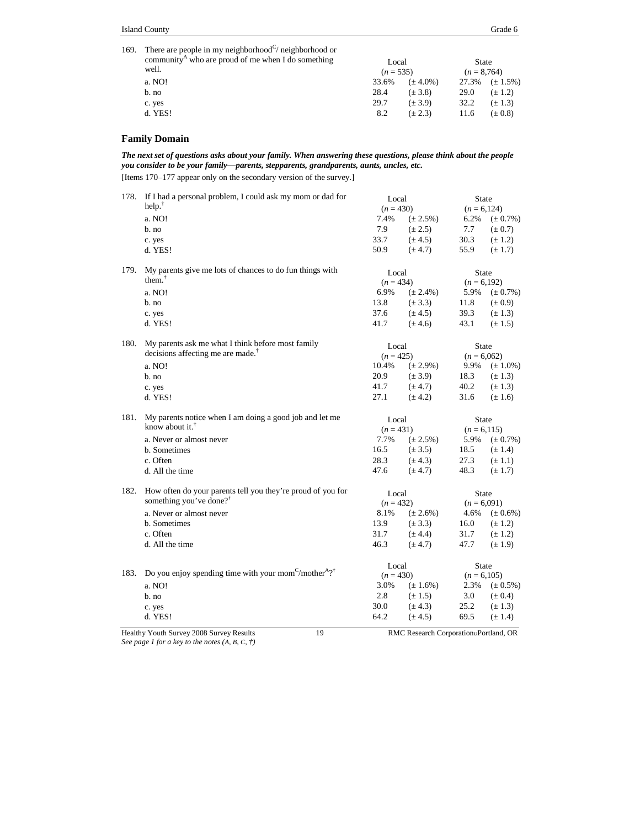| 169. There are people in my neighborhood $\mathcal{C}/$ neighborhood or<br>community <sup>A</sup> who are proud of me when I do something<br>well. | Local<br>$(n = 535)$ |               | State<br>$(n = 8.764)$ |                        |
|----------------------------------------------------------------------------------------------------------------------------------------------------|----------------------|---------------|------------------------|------------------------|
| a. NO!                                                                                                                                             | 33.6%                | $(\pm 4.0\%)$ |                        | $27.3\%$ $(\pm 1.5\%)$ |
| b. no                                                                                                                                              | 28.4                 | $(\pm 3.8)$   | 29.0                   | $(\pm 1.2)$            |
| c. yes                                                                                                                                             | 29.7                 | $(\pm 3.9)$   | 32.2                   | $(\pm 1.3)$            |
| d. YES!                                                                                                                                            | 8.2                  | $(\pm 2.3)$   | 11.6                   | $(\pm 0.8)$            |

#### **Family Domain**

*The next set of questions asks about your family. When answering these questions, please think about the people you consider to be your family—parents, stepparents, grandparents, aunts, uncles, etc.*

[Items 170–177 appear only on the secondary version of the survey.]

| 178. | If I had a personal problem, I could ask my mom or dad for<br>help. $†$                   | Local<br>$(n = 430)$ |                            | <b>State</b><br>$(n = 6, 124)$ |                            |
|------|-------------------------------------------------------------------------------------------|----------------------|----------------------------|--------------------------------|----------------------------|
|      | a. NO!                                                                                    |                      | 7.4%<br>$(\pm 2.5\%)$      |                                | $(\pm 0.7\%)$              |
|      | $b$ . no                                                                                  | 7.9                  | $(\pm 2.5)$                | 6.2%<br>7.7                    | $(\pm 0.7)$                |
|      |                                                                                           | 33.7                 | $(\pm 4.5)$                | 30.3                           | $(\pm 1.2)$                |
|      | c. yes<br>d. YES!                                                                         | 50.9                 | $(\pm 4.7)$                | 55.9                           | $(\pm 1.7)$                |
|      |                                                                                           |                      |                            |                                |                            |
| 179. | My parents give me lots of chances to do fun things with                                  | Local                |                            | <b>State</b>                   |                            |
|      | them. $T$                                                                                 | $(n = 434)$          |                            | $(n = 6,192)$                  |                            |
|      | a. NO!                                                                                    | 6.9%                 | $(\pm 2.4\%)$              | 5.9%                           | $(\pm 0.7\%)$              |
|      | b. no                                                                                     | 13.8                 | $(\pm 3.3)$                | 11.8                           | $(\pm 0.9)$                |
|      | c. yes                                                                                    | 37.6                 | $(\pm 4.5)$                | 39.3                           | $(\pm 1.3)$                |
|      | d. YES!                                                                                   | 41.7                 | $(\pm 4.6)$                | 43.1                           | $(\pm 1.5)$                |
| 180. | My parents ask me what I think before most family                                         | Local                |                            | <b>State</b>                   |                            |
|      | decisions affecting me are made. <sup>†</sup>                                             | $(n = 425)$          |                            | $(n = 6,062)$                  |                            |
|      | a. NO!                                                                                    | 10.4%                | $(\pm 2.9\%)$              | 9.9%                           | $(\pm 1.0\%)$              |
|      | $b$ . no                                                                                  | 20.9                 | $(\pm 3.9)$                | 18.3                           | $(\pm 1.3)$                |
|      | c. yes                                                                                    | 41.7                 | $(\pm 4.7)$                | 40.2                           | $(\pm 1.3)$                |
|      | d. YES!                                                                                   | 27.1                 | $(\pm 4.2)$                | 31.6                           | $(\pm 1.6)$                |
| 181. | My parents notice when I am doing a good job and let me                                   | Local                |                            | <b>State</b>                   |                            |
|      | know about it. <sup>†</sup>                                                               | $(n = 431)$          |                            | $(n = 6, 115)$                 |                            |
|      | a. Never or almost never                                                                  | 7.7%                 | $(\pm 2.5\%)$              | 5.9%                           | $(\pm 0.7\%)$              |
|      | b. Sometimes                                                                              | 16.5                 | $(\pm 3.5)$                | 18.5                           | $(\pm 1.4)$                |
|      | c. Often                                                                                  | 28.3                 | $(\pm 4.3)$                | 27.3                           | $(\pm 1.1)$                |
|      | d. All the time                                                                           | 47.6                 | $(\pm 4.7)$                | 48.3                           | $(\pm 1.7)$                |
| 182. | How often do your parents tell you they're proud of you for                               | Local                |                            | <b>State</b>                   |                            |
|      | something you've done? <sup>†</sup>                                                       | $(n = 432)$          |                            | $(n = 6,091)$                  |                            |
|      | a. Never or almost never                                                                  | 8.1%                 | $(\pm 2.6\%)$              | 4.6%                           | $(\pm 0.6\%)$              |
|      | b. Sometimes                                                                              | 13.9                 | $(\pm 3.3)$                | 16.0                           | $(\pm 1.2)$                |
|      |                                                                                           |                      |                            |                                | $(\pm 1.2)$                |
|      | c. Often                                                                                  | 31.7                 | $(\pm 4.4)$                | 31.7                           |                            |
|      | d. All the time                                                                           | 46.3                 | $(\pm 4.7)$                | 47.7                           | $(\pm 1.9)$                |
|      |                                                                                           |                      |                            |                                |                            |
| 183. | Do you enjoy spending time with your mom <sup>C</sup> /mother <sup>A</sup> ? <sup>†</sup> | Local                |                            | <b>State</b>                   |                            |
|      | a. NO!                                                                                    | $(n = 430)$<br>3.0%  |                            | $(n = 6, 105)$                 |                            |
|      |                                                                                           |                      | $(\pm 1.6\%)$              | 2.3%                           | $(\pm 0.5\%)$              |
|      | $b$ . no                                                                                  | 2.8                  | $(\pm 1.5)$                | 3.0                            | $(\pm 0.4)$                |
|      | c. yes<br>d. YES!                                                                         | 30.0<br>64.2         | $(\pm 4.3)$<br>$(\pm 4.5)$ | 25.2<br>69.5                   | $(\pm 1.3)$<br>$(\pm 1.4)$ |

*See page 1 for a key to the notes (A, B, C, †)*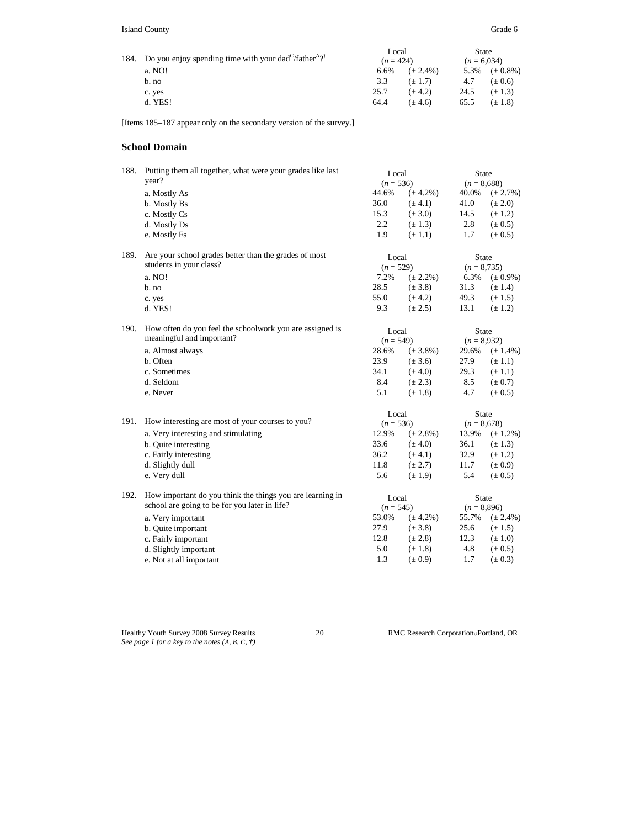| 184. Do you enjoy spending time with your dad $\frac{1}{4}$ father $\frac{1}{2}$ | Local<br>$(n = 424)$ |               | State<br>$(n = 6.034)$ |               |
|----------------------------------------------------------------------------------|----------------------|---------------|------------------------|---------------|
| a. NO!                                                                           | 6.6%                 | $(\pm 2.4\%)$ | 5.3%                   | $(\pm 0.8\%)$ |
| b. no                                                                            | 3.3                  | $(\pm 1.7)$   | 4.7                    | $(\pm 0.6)$   |
| c. yes                                                                           | 25.7                 | $(\pm 4.2)$   | 24.5                   | $(\pm 1.3)$   |
| d. YES!                                                                          | 64.4                 | $(\pm 4.6)$   | 65.5                   | $(\pm 1.8)$   |

[Items 185–187 appear only on the secondary version of the survey.]

## **School Domain**

| 188. | Putting them all together, what were your grades like last<br>year? | Local<br>$(n = 536)$ |               | State<br>$(n = 8,688)$ |               |
|------|---------------------------------------------------------------------|----------------------|---------------|------------------------|---------------|
|      | a. Mostly As                                                        | 44.6%                | $(\pm 4.2\%)$ | 40.0%                  | $(\pm 2.7\%)$ |
|      | b. Mostly Bs                                                        | 36.0                 | $(\pm 4.1)$   | 41.0                   | $(\pm 2.0)$   |
|      | c. Mostly Cs                                                        | 15.3                 | $(\pm 3.0)$   | 14.5                   | $(\pm 1.2)$   |
|      | d. Mostly Ds                                                        | 2.2                  | $(\pm 1.3)$   | 2.8                    | $(\pm 0.5)$   |
|      | e. Mostly Fs                                                        | 1.9                  | $(\pm 1.1)$   | 1.7                    | $(\pm 0.5)$   |
| 189. | Are your school grades better than the grades of most               | Local                |               | <b>State</b>           |               |
|      | students in your class?                                             | $(n = 529)$          |               | $(n = 8, 735)$         |               |
|      | a. NO!                                                              | 7.2%                 | $(\pm 2.2\%)$ | 6.3%                   | $(\pm 0.9\%)$ |
|      | b. no                                                               | 28.5                 | $(\pm 3.8)$   | 31.3                   | $(\pm 1.4)$   |
|      | c. yes                                                              | 55.0                 | $(\pm 4.2)$   | 49.3                   | $(\pm 1.5)$   |
|      | d. YES!                                                             | 9.3                  | $(\pm 2.5)$   | 13.1                   | $(\pm 1.2)$   |
| 190. | How often do you feel the schoolwork you are assigned is            | Local                |               | <b>State</b>           |               |
|      | meaningful and important?                                           | $(n = 549)$          |               | $(n = 8,932)$          |               |
|      | a. Almost always                                                    | 28.6%                | $(\pm 3.8\%)$ | 29.6%                  | $(\pm 1.4\%)$ |
|      | b. Often                                                            | 23.9                 | $(\pm 3.6)$   | 27.9                   | $(\pm 1.1)$   |
|      | c. Sometimes                                                        | 34.1                 | $(\pm 4.0)$   | 29.3                   | $(\pm 1.1)$   |
|      | d. Seldom                                                           | 8.4                  | $(\pm 2.3)$   | 8.5                    | $(\pm 0.7)$   |
|      | e. Never                                                            | 5.1                  | $(\pm 1.8)$   | 4.7                    | $(\pm 0.5)$   |
|      |                                                                     | Local                |               | State                  |               |
| 191. | How interesting are most of your courses to you?                    | $(n = 536)$          |               | $(n = 8,678)$          |               |
|      | a. Very interesting and stimulating                                 | 12.9%                | $(\pm 2.8\%)$ | 13.9%                  | $(\pm 1.2\%)$ |
|      | b. Quite interesting                                                | 33.6                 | $(\pm 4.0)$   | 36.1                   | $(\pm 1.3)$   |
|      | c. Fairly interesting                                               | 36.2                 | $(\pm 4.1)$   | 32.9                   | $(\pm 1.2)$   |
|      | d. Slightly dull                                                    | 11.8                 | $(\pm 2.7)$   | 11.7                   | $(\pm 0.9)$   |
|      | e. Very dull                                                        | 5.6                  | $(\pm 1.9)$   | 5.4                    | $(\pm 0.5)$   |
| 192. | How important do you think the things you are learning in           | Local                |               | <b>State</b>           |               |
|      | school are going to be for you later in life?                       | $(n = 545)$          |               | $(n = 8,896)$          |               |
|      | a. Very important                                                   | 53.0%                | $(\pm 4.2\%)$ | 55.7%                  | $(\pm 2.4\%)$ |
|      | b. Quite important                                                  | 27.9                 | $(\pm 3.8)$   | 25.6                   | $(\pm 1.5)$   |
|      | c. Fairly important                                                 | 12.8                 | $(\pm 2.8)$   | 12.3                   | $(\pm 1.0)$   |
|      | d. Slightly important                                               | 5.0                  | $(\pm 1.8)$   | 4.8                    | $(\pm 0.5)$   |
|      | e. Not at all important                                             | 1.3                  | $(\pm 0.9)$   | 1.7                    | $(\pm 0.3)$   |
|      |                                                                     |                      |               |                        |               |

*See page 1 for a key to the notes (A, B, C, †)*

Healthy Youth Survey 2008 Survey Results 20 RMC Research CorporationPortland, OR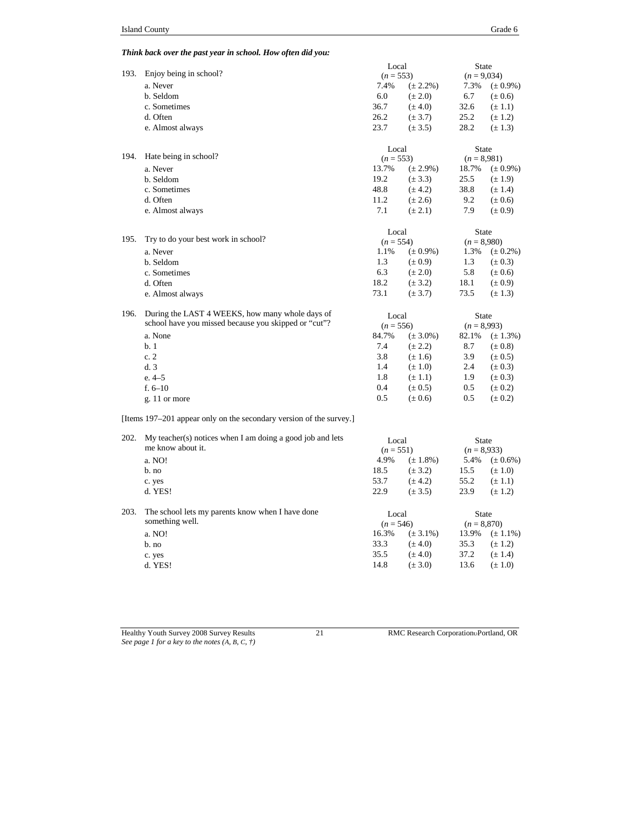## *Think back over the past year in school. How often did you:*

|      |                                                                     | Local       |               | <b>State</b>  |               |
|------|---------------------------------------------------------------------|-------------|---------------|---------------|---------------|
| 193. | Enjoy being in school?                                              | $(n = 553)$ |               | $(n = 9,034)$ |               |
|      | a. Never                                                            | 7.4%        | $(\pm 2.2\%)$ | 7.3%          | $(\pm 0.9\%)$ |
|      | b. Seldom                                                           | 6.0         | $(\pm 2.0)$   | 6.7           | $(\pm 0.6)$   |
|      | c. Sometimes                                                        | 36.7        | $(\pm 4.0)$   | 32.6          | $(\pm 1.1)$   |
|      | d. Often                                                            | 26.2        | $(\pm 3.7)$   | 25.2          | $(\pm 1.2)$   |
|      | e. Almost always                                                    | 23.7        | $(\pm 3.5)$   | 28.2          | $(\pm 1.3)$   |
|      |                                                                     |             |               |               |               |
|      |                                                                     | Local       |               | State         |               |
| 194. | Hate being in school?                                               | $(n = 553)$ |               | $(n = 8,981)$ |               |
|      | a. Never                                                            | 13.7%       | $(\pm 2.9\%)$ | 18.7%         | $(\pm 0.9\%)$ |
|      | b. Seldom                                                           | 19.2        | $(\pm 3.3)$   | 25.5          | $(\pm 1.9)$   |
|      | c. Sometimes                                                        | 48.8        | $(\pm 4.2)$   | 38.8          | $(\pm 1.4)$   |
|      | d. Often                                                            | 11.2        | $(\pm 2.6)$   | 9.2           | $(\pm 0.6)$   |
|      | e. Almost always                                                    | 7.1         | $(\pm 2.1)$   | 7.9           | $(\pm 0.9)$   |
|      |                                                                     | Local       |               | <b>State</b>  |               |
| 195. | Try to do your best work in school?                                 | $(n = 554)$ |               | $(n = 8,980)$ |               |
|      | a. Never                                                            | 1.1%        | $(\pm 0.9\%)$ | 1.3%          | $(\pm 0.2\%)$ |
|      | b. Seldom                                                           | 1.3         | $(\pm 0.9)$   | 1.3           | $(\pm 0.3)$   |
|      | c. Sometimes                                                        | 6.3         | $(\pm 2.0)$   | 5.8           | $(\pm 0.6)$   |
|      | d. Often                                                            | 18.2        | $(\pm 3.2)$   | 18.1          | $(\pm 0.9)$   |
|      | e. Almost always                                                    | 73.1        | $(\pm 3.7)$   | 73.5          | $(\pm 1.3)$   |
| 196. | During the LAST 4 WEEKS, how many whole days of                     | Local       |               | <b>State</b>  |               |
|      | school have you missed because you skipped or "cut"?                | $(n = 556)$ |               | $(n = 8,993)$ |               |
|      | a. None                                                             | 84.7%       | $(\pm 3.0\%)$ | 82.1%         | $(\pm 1.3\%)$ |
|      | b.1                                                                 | 7.4         | $(\pm 2.2)$   | 8.7           | $(\pm 0.8)$   |
|      | c.2                                                                 | 3.8         | $(\pm 1.6)$   | 3.9           | $(\pm 0.5)$   |
|      | d.3                                                                 | 1.4         | $(\pm 1.0)$   | 2.4           | $(\pm 0.3)$   |
|      | $e.4-5$                                                             | 1.8         | $(\pm 1.1)$   | 1.9           | $(\pm 0.3)$   |
|      | f. $6-10$                                                           | 0.4         | $(\pm 0.5)$   | 0.5           | $(\pm 0.2)$   |
|      |                                                                     | 0.5         | $(\pm 0.6)$   | 0.5           | $(\pm 0.2)$   |
|      | g. 11 or more                                                       |             |               |               |               |
|      | [Items 197–201 appear only on the secondary version of the survey.] |             |               |               |               |
| 202. | $My teacher(s)$ notices when I am doing a good job and lets         | Local       |               | <b>State</b>  |               |
|      | me know about it.                                                   | $(n = 551)$ |               | $(n = 8,933)$ |               |
|      | a. NO!                                                              | 4.9%        | $(\pm 1.8\%)$ | 5.4%          | $(\pm 0.6\%)$ |
|      | b. no                                                               | 18.5        | $(\pm 3.2)$   | 15.5          | $(\pm 1.0)$   |
|      | c. yes                                                              | 53.7        | $(\pm 4.2)$   | 55.2          | $(\pm 1.1)$   |
|      | d. YES!                                                             | 22.9        | $(\pm 3.5)$   | 23.9          | $(\pm 1.2)$   |
| 203. | The school lets my parents know when I have done                    | Local       |               | <b>State</b>  |               |
|      | something well.                                                     | $(n = 546)$ |               | $(n = 8,870)$ |               |
|      | a. NO!                                                              | 16.3%       | $(\pm 3.1\%)$ | 13.9%         | $(\pm 1.1\%)$ |
|      | b. no                                                               | 33.3        | $(\pm 4.0)$   | 35.3          | $(\pm 1.2)$   |
|      | c. yes                                                              | 35.5        | $(\pm 4.0)$   | 37.2          | $(\pm 1.4)$   |
|      | d. YES!                                                             | 14.8        | $(\pm 3.0)$   | 13.6          | $(\pm 1.0)$   |
|      |                                                                     |             |               |               |               |

Healthy Youth Survey 2008 Survey Results 21 RMC Research CorporationPortland, OR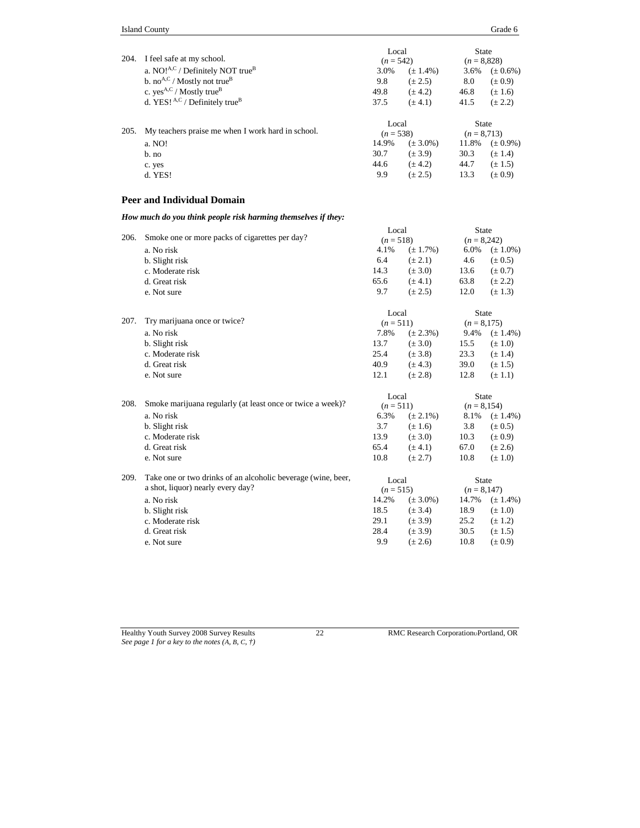|      |                                                     | Local       |               | <b>State</b>   |               |
|------|-----------------------------------------------------|-------------|---------------|----------------|---------------|
| 204. | I feel safe at my school.                           | $(n = 542)$ |               | $(n = 8,828)$  |               |
|      | a. $NO!^{A,C}$ / Definitely NOT true <sup>B</sup>   | 3.0%        | $(\pm 1.4\%)$ | 3.6%           | $(\pm 0.6\%)$ |
|      | b. no <sup>A,C</sup> / Mostly not true <sup>B</sup> | 9.8         | $(\pm 2.5)$   | 8.0            | $(\pm 0.9)$   |
|      | c. $yes^{A,C}$ / Mostly true <sup>B</sup>           | 49.8        | $(\pm 4.2)$   | 46.8           | $(\pm 1.6)$   |
|      | d. YES! $A,C$ / Definitely true <sup>B</sup>        | 37.5        | $(\pm 4.1)$   | 41.5           | $(\pm 2.2)$   |
|      |                                                     | Local       |               | <b>State</b>   |               |
| 205. | My teachers praise me when I work hard in school.   | $(n = 538)$ |               | $(n = 8, 713)$ |               |
|      | a. NO!                                              | 14.9%       | $(\pm 3.0\%)$ | 11.8%          | $(\pm 0.9\%)$ |
|      | $b$ . no                                            | 30.7        | $(\pm 3.9)$   | 30.3           | $(\pm 1.4)$   |
|      | c. yes                                              | 44.6        | $(\pm 4.2)$   | 44.7           | $(\pm 1.5)$   |

d. YES! 9.9 ( $\pm$  2.5) 13.3 ( $\pm$  0.9)

#### **Peer and Individual Domain**

*How much do you think people risk harming themselves if they:*

| 206. | Smoke one or more packs of cigarettes per day?               | Local<br>$(n = 518)$ |               | <b>State</b><br>$(n = 8,242)$ |               |
|------|--------------------------------------------------------------|----------------------|---------------|-------------------------------|---------------|
|      | a. No risk                                                   | 4.1%                 | $(\pm 1.7\%)$ | 6.0%                          | $(\pm 1.0\%)$ |
|      | b. Slight risk                                               | 6.4                  | $(\pm 2.1)$   | 4.6                           | $(\pm 0.5)$   |
|      | c. Moderate risk                                             | 14.3                 | $(\pm 3.0)$   | 13.6                          | $(\pm 0.7)$   |
|      | d. Great risk                                                | 65.6                 | $(\pm 4.1)$   | 63.8                          | $(\pm 2.2)$   |
|      | e. Not sure                                                  | 9.7                  | $(\pm 2.5)$   | 12.0                          | $(\pm 1.3)$   |
|      |                                                              | Local                |               | <b>State</b>                  |               |
| 207. | Try marijuana once or twice?                                 | $(n = 511)$          |               | $(n = 8,175)$                 |               |
|      | a. No risk                                                   | 7.8%                 | $(\pm 2.3\%)$ | 9.4%                          | $(\pm 1.4\%)$ |
|      | b. Slight risk                                               | 13.7                 | $(\pm 3.0)$   | 15.5                          | $(\pm 1.0)$   |
|      | c. Moderate risk                                             | 25.4                 | $(\pm 3.8)$   | 23.3                          | $(\pm 1.4)$   |
|      | d. Great risk                                                | 40.9                 | $(\pm 4.3)$   | 39.0                          | $(\pm 1.5)$   |
|      | e. Not sure                                                  | 12.1                 | $(\pm 2.8)$   | 12.8                          | $(\pm 1.1)$   |
|      |                                                              | Local                |               | <b>State</b>                  |               |
| 208. | Smoke marijuana regularly (at least once or twice a week)?   | $(n = 511)$          |               | $(n = 8, 154)$                |               |
|      | a. No risk                                                   | 6.3%                 | $(\pm 2.1\%)$ | 8.1%                          | $(\pm 1.4\%)$ |
|      | b. Slight risk                                               | 3.7                  | $(\pm 1.6)$   | 3.8                           | $(\pm 0.5)$   |
|      | c. Moderate risk                                             | 13.9                 | $(\pm 3.0)$   | 10.3                          | $(\pm 0.9)$   |
|      | d. Great risk                                                | 65.4                 | $(\pm 4.1)$   | 67.0                          | $(\pm 2.6)$   |
|      | e. Not sure                                                  | 10.8                 | $(\pm 2.7)$   | 10.8                          | $(\pm 1.0)$   |
| 209. | Take one or two drinks of an alcoholic beverage (wine, beer, | Local                |               | <b>State</b>                  |               |
|      | a shot, liquor) nearly every day?                            | $(n = 515)$          |               | $(n = 8,147)$                 |               |
|      | a. No risk                                                   | 14.2%                | $(\pm 3.0\%)$ | 14.7%                         | $(\pm 1.4\%)$ |
|      | b. Slight risk                                               | 18.5                 | $(\pm 3.4)$   | 18.9                          | $(\pm 1.0)$   |
|      | c. Moderate risk                                             | 29.1                 | $(\pm 3.9)$   | 25.2                          | $(\pm 1.2)$   |
|      | d. Great risk                                                | 28.4                 | $(\pm 3.9)$   | 30.5                          | $(\pm 1.5)$   |
|      | e. Not sure                                                  | 9.9                  | $(\pm 2.6)$   | 10.8                          | $(\pm 0.9)$   |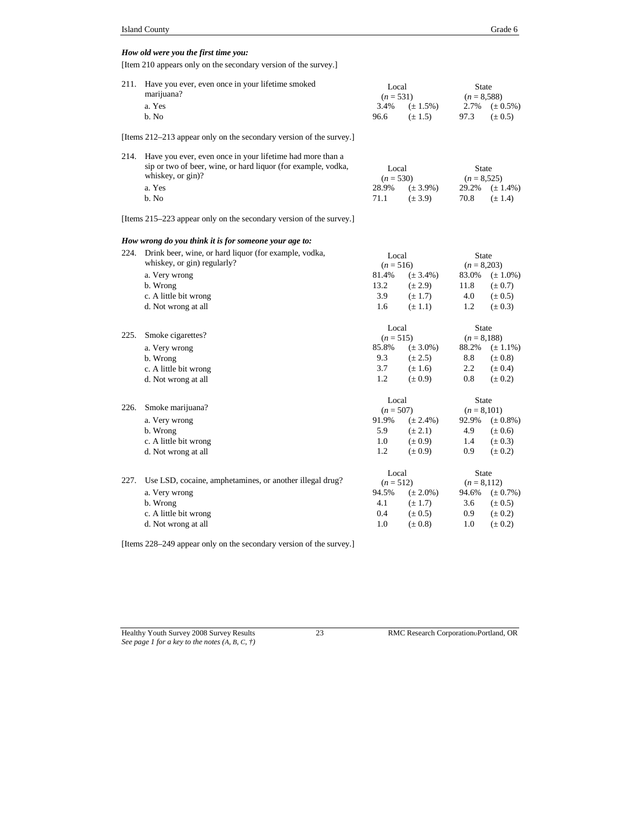#### *How old were you the first time you:*

[Item 210 appears only on the secondary version of the survey.]

| 211. Have you ever, even once in your lifetime smoked | Local<br>$(n = 531)$ |                       | State<br>$(n = 8.588)$ |                    |
|-------------------------------------------------------|----------------------|-----------------------|------------------------|--------------------|
| marijuana?                                            |                      |                       |                        |                    |
| a. Yes                                                |                      | $3.4\%$ $(\pm 1.5\%)$ |                        | 2.7% $(\pm 0.5\%)$ |
| $h$ . No                                              | 96.6                 | $(+1.5)$              | 97.3                   | $(\pm 0.5)$        |
|                                                       |                      |                       |                        |                    |

[Items 212–213 appear only on the secondary version of the survey.]

| 214. Have you ever, even once in your lifetime had more than a |             |                        |               |                     |
|----------------------------------------------------------------|-------------|------------------------|---------------|---------------------|
| sip or two of beer, wine, or hard liquor (for example, vodka,  | Local       |                        | State         |                     |
| whiskey, or gin)?                                              | $(n = 530)$ |                        | $(n = 8.525)$ |                     |
| a. Yes                                                         |             | $28.9\%$ $(\pm 3.9\%)$ |               | 29.2% $(\pm 1.4\%)$ |
| b. No                                                          | 71.1        | $(+3.9)$               | 70.8          | $(+1.4)$            |

[Items 215–223 appear only on the secondary version of the survey.]

## *How wrong do you think it is for someone your age to:*

| 224. | Drink beer, wine, or hard liquor (for example, vodka,    | Local       |               | <b>State</b>  |               |
|------|----------------------------------------------------------|-------------|---------------|---------------|---------------|
|      | whiskey, or gin) regularly?                              | $(n = 516)$ |               | $(n = 8,203)$ |               |
|      | a. Very wrong                                            | 81.4%       | $(\pm 3.4\%)$ | 83.0%         | $(\pm 1.0\%)$ |
|      | b. Wrong                                                 | 13.2        | $(\pm 2.9)$   | 11.8          | $(\pm 0.7)$   |
|      | c. A little bit wrong                                    | 3.9         | $(\pm 1.7)$   | 4.0           | $(\pm 0.5)$   |
|      | d. Not wrong at all                                      | 1.6         | $(\pm 1.1)$   | 1.2           | $(\pm 0.3)$   |
|      |                                                          | Local       |               | <b>State</b>  |               |
| 225. | Smoke cigarettes?                                        | $(n = 515)$ |               | $(n = 8,188)$ |               |
|      | a. Very wrong                                            | 85.8%       | $(\pm 3.0\%)$ | 88.2%         | $(\pm 1.1\%)$ |
|      | b. Wrong                                                 | 9.3         | $(\pm 2.5)$   | 8.8           | $(\pm 0.8)$   |
|      | c. A little bit wrong                                    | 3.7         | $(\pm 1.6)$   | $2.2^{\circ}$ | $(\pm 0.4)$   |
|      | d. Not wrong at all                                      | 1.2         | $(\pm 0.9)$   | 0.8           | $(\pm 0.2)$   |
|      |                                                          | Local       |               | <b>State</b>  |               |
| 226. | Smoke marijuana?                                         | $(n = 507)$ |               | $(n = 8,101)$ |               |
|      | a. Very wrong                                            | 91.9%       | $(\pm 2.4\%)$ | 92.9%         | $(\pm 0.8\%)$ |
|      | b. Wrong                                                 | 5.9         | $(\pm 2.1)$   | 4.9           | $(\pm 0.6)$   |
|      | c. A little bit wrong                                    | 1.0         | $(\pm 0.9)$   | 1.4           | $(\pm 0.3)$   |
|      | d. Not wrong at all                                      | 1.2         | $(\pm 0.9)$   | 0.9           | $(\pm 0.2)$   |
|      |                                                          | Local       |               | State         |               |
| 227. | Use LSD, cocaine, amphetamines, or another illegal drug? | $(n = 512)$ |               | $(n = 8,112)$ |               |
|      | a. Very wrong                                            | 94.5%       | $(\pm 2.0\%)$ | 94.6%         | $(\pm 0.7\%)$ |
|      | b. Wrong                                                 | 4.1         | $(\pm 1.7)$   | 3.6           | $(\pm 0.5)$   |
|      | c. A little bit wrong                                    | 0.4         | $(\pm 0.5)$   | 0.9           | $(\pm 0.2)$   |
|      | d. Not wrong at all                                      | 1.0         | $(\pm 0.8)$   | 1.0           | $(\pm 0.2)$   |

[Items 228–249 appear only on the secondary version of the survey.]

Healthy Youth Survey 2008 Survey Results 23 RMC Research Corporation Portland, OR *See page 1 for a key to the notes (A, B, C, †)*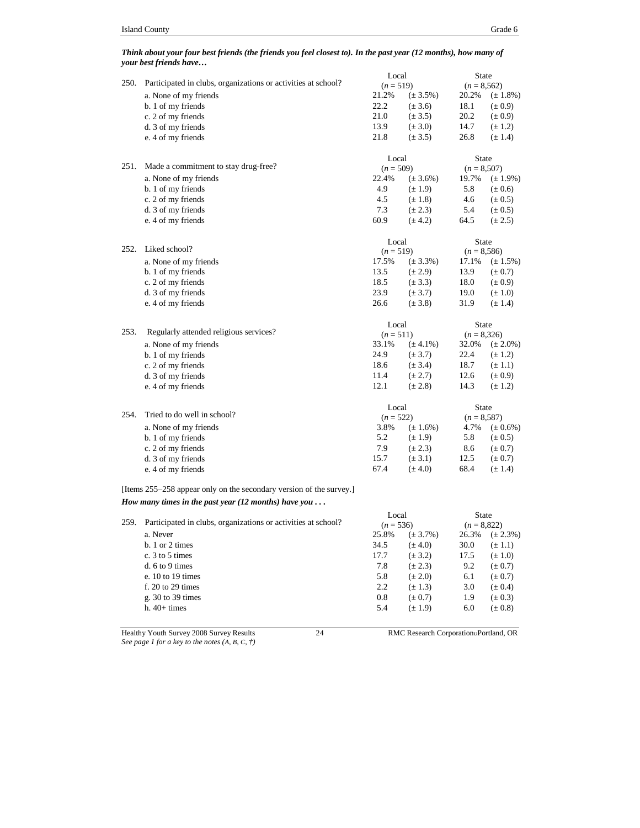#### *Think about your four best friends (the friends you feel closest to). In the past year (12 months), how many of your best friends have…*

| 250. | Participated in clubs, organizations or activities at school?       | Local       |               | <b>State</b>   |               |
|------|---------------------------------------------------------------------|-------------|---------------|----------------|---------------|
|      |                                                                     | $(n = 519)$ |               | $(n = 8, 562)$ |               |
|      | a. None of my friends                                               | 21.2%       | $(\pm 3.5\%)$ | 20.2%          | $(\pm 1.8\%)$ |
|      | b. 1 of my friends                                                  | 22.2        | $(\pm 3.6)$   | 18.1           | $(\pm 0.9)$   |
|      | c. 2 of my friends                                                  | 21.0        | $(\pm 3.5)$   | 20.2           | $(\pm 0.9)$   |
|      | d. 3 of my friends                                                  | 13.9        | $(\pm 3.0)$   | 14.7           | $(\pm 1.2)$   |
|      | e. 4 of my friends                                                  | 21.8        | $(\pm 3.5)$   | 26.8           | $(\pm 1.4)$   |
|      |                                                                     | Local       |               | <b>State</b>   |               |
| 251. | Made a commitment to stay drug-free?                                | $(n = 509)$ |               | $(n = 8,507)$  |               |
|      | a. None of my friends                                               | 22.4%       | $(\pm 3.6\%)$ | 19.7%          | $(\pm 1.9\%)$ |
|      | b. 1 of my friends                                                  | 4.9         | $(\pm 1.9)$   | 5.8            | $(\pm 0.6)$   |
|      | c. 2 of my friends                                                  | 4.5         | $(\pm 1.8)$   | 4.6            | $(\pm 0.5)$   |
|      | d. 3 of my friends                                                  | 7.3         | $(\pm 2.3)$   | 5.4            | $(\pm 0.5)$   |
|      | e. 4 of my friends                                                  | 60.9        | $(\pm 4.2)$   | 64.5           | $(\pm 2.5)$   |
|      |                                                                     | Local       |               | <b>State</b>   |               |
| 252. | Liked school?                                                       | $(n = 519)$ |               | $(n = 8,586)$  |               |
|      | a. None of my friends                                               | 17.5%       | $(\pm 3.3\%)$ | 17.1%          | $(\pm 1.5\%)$ |
|      | b. 1 of my friends                                                  | 13.5        | $(\pm 2.9)$   | 13.9           | $(\pm 0.7)$   |
|      |                                                                     |             |               |                |               |
|      | c. 2 of my friends                                                  | 18.5        | $(\pm 3.3)$   | 18.0           | $(\pm 0.9)$   |
|      | d. 3 of my friends                                                  | 23.9        | $(\pm 3.7)$   | 19.0           | $(\pm 1.0)$   |
|      | e. 4 of my friends                                                  | 26.6        | $(\pm 3.8)$   | 31.9           | $(\pm 1.4)$   |
|      |                                                                     | Local       |               | <b>State</b>   |               |
| 253. | Regularly attended religious services?                              | $(n = 511)$ |               | $(n = 8,326)$  |               |
|      | a. None of my friends                                               | 33.1%       | $(\pm 4.1\%)$ | 32.0%          | $(\pm 2.0\%)$ |
|      | b. 1 of my friends                                                  | 24.9        | $(\pm 3.7)$   | 22.4           | $(\pm 1.2)$   |
|      | c. 2 of my friends                                                  | 18.6        | $(\pm 3.4)$   | 18.7           | $(\pm 1.1)$   |
|      | d. 3 of my friends                                                  | 11.4        | $(\pm 2.7)$   | 12.6           | $(\pm 0.9)$   |
|      | e. 4 of my friends                                                  | 12.1        | $(\pm 2.8)$   | 14.3           | $(\pm 1.2)$   |
|      |                                                                     | Local       |               | <b>State</b>   |               |
| 254. | Tried to do well in school?                                         | $(n = 522)$ |               | $(n = 8, 587)$ |               |
|      | a. None of my friends                                               | 3.8%        | $(\pm 1.6\%)$ | 4.7%           | $(\pm 0.6\%)$ |
|      | b. 1 of my friends                                                  | 5.2         | $(\pm 1.9)$   | 5.8            | $(\pm 0.5)$   |
|      | c. 2 of my friends                                                  | 7.9         | $(\pm 2.3)$   | 8.6            | $(\pm 0.7)$   |
|      | d. 3 of my friends                                                  | 15.7        | $(\pm 3.1)$   | 12.5           | $(\pm 0.7)$   |
|      | e. 4 of my friends                                                  | 67.4        | $(\pm 4.0)$   | 68.4           | $(\pm 1.4)$   |
|      | [Items 255–258 appear only on the secondary version of the survey.] |             |               |                |               |
|      | How many times in the past year (12 months) have you $\dots$        |             |               |                |               |
|      |                                                                     | Local       |               | State          |               |
| 259. | Participated in clubs, organizations or activities at school?       | $(n = 536)$ |               | $(n = 8,822)$  |               |
|      | a. Never                                                            | 25.8%       | $(\pm 3.7\%)$ | 26.3%          | $(\pm 2.3\%)$ |
|      | $b. 1$ or $2$ times                                                 | 34.5        | $(\pm 4.0)$   | 30.0           | $(\pm 1.1)$   |
|      | c. 3 to 5 times                                                     | 17.7        | $(\pm 3.2)$   | 17.5           | $(\pm 1.0)$   |
|      | $d. 6$ to 9 times                                                   | 7.8         | $(\pm 2.3)$   | 9.2            | $(\pm 0.7)$   |
|      | e. $10$ to $19$ times                                               | 5.8         | $(\pm 2.0)$   | 6.1            | $(\pm 0.7)$   |
|      | $f. 20$ to 29 times                                                 | 2.2         | $(\pm 1.3)$   | 3.0            | $(\pm 0.4)$   |
|      | g. $30$ to $39$ times                                               | 0.8         | $(\pm 0.7)$   | 1.9            | $(\pm 0.3)$   |
|      | $h.40+ times$                                                       | 5.4         | $(\pm 1.9)$   | 6.0            | $(\pm 0.8)$   |

Healthy Youth Survey 2008 Survey Results 24 RMC Research Corporation Portland, OR *See page 1 for a key to the notes (A, B, C, †)*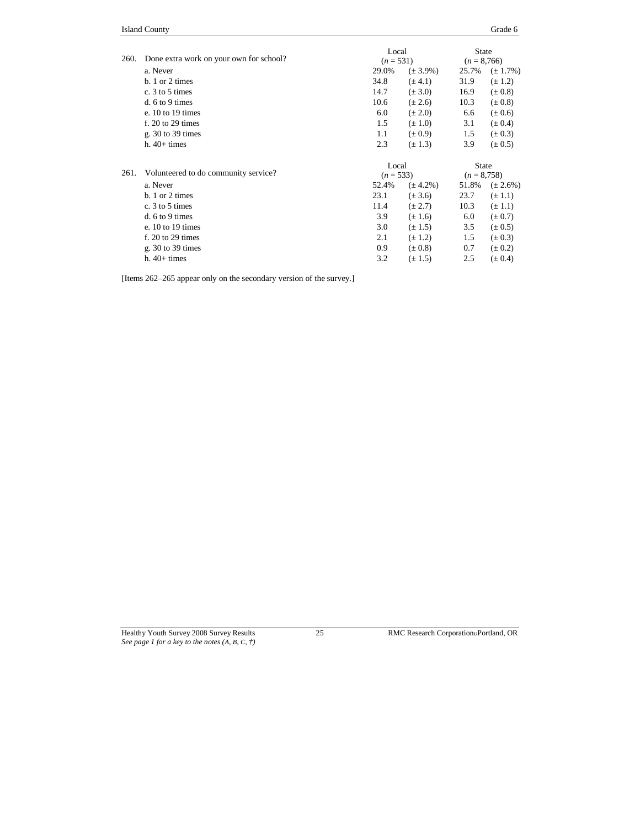| Grade 6 |  |
|---------|--|
|         |  |

| 260. | Done extra work on your own for school? |       | Local<br>$(n = 531)$ |       | <b>State</b><br>$(n = 8,766)$ |  |
|------|-----------------------------------------|-------|----------------------|-------|-------------------------------|--|
|      | a. Never                                | 29.0% | $(\pm 3.9\%)$        | 25.7% | $(\pm 1.7\%)$                 |  |
|      | $b. 1$ or 2 times                       | 34.8  | $(\pm 4.1)$          | 31.9  | $(\pm 1.2)$                   |  |
|      | c. $3$ to $5$ times                     | 14.7  | $(\pm 3.0)$          | 16.9  | $(\pm 0.8)$                   |  |
|      | $d. 6$ to 9 times                       | 10.6  | $(\pm 2.6)$          | 10.3  | $(\pm 0.8)$                   |  |
|      | e. $10$ to $19$ times                   | 6.0   | $(\pm 2.0)$          | 6.6   | $(\pm 0.6)$                   |  |
|      | f. $20$ to $29$ times                   | 1.5   | $(\pm 1.0)$          | 3.1   | $(\pm 0.4)$                   |  |
|      | g. $30$ to $39$ times                   | 1.1   | $(\pm 0.9)$          | 1.5   | $(\pm 0.3)$                   |  |
|      | $h.40+ \text{times}$                    | 2.3   | $(\pm 1.3)$          | 3.9   | $(\pm 0.5)$                   |  |
| 261. |                                         |       | Local                |       | State                         |  |
|      | Volunteered to do community service?    |       | $(n = 533)$          |       | $(n = 8, 758)$                |  |
|      | a. Never                                | 52.4% | $(\pm 4.2\%)$        | 51.8% | $(\pm 2.6\%)$                 |  |
|      | $b. 1$ or 2 times                       | 23.1  | $(\pm 3.6)$          | 23.7  | $(\pm 1.1)$                   |  |
|      | c. 3 to 5 times                         | 11.4  | $(\pm 2.7)$          | 10.3  | $(\pm 1.1)$                   |  |
|      | $d. 6$ to 9 times                       | 3.9   | $(\pm 1.6)$          | 6.0   | $(\pm 0.7)$                   |  |
|      | e. $10$ to $19$ times                   | 3.0   | $(\pm 1.5)$          | 3.5   | $(\pm 0.5)$                   |  |
|      | f. $20$ to $29$ times                   | 2.1   | $(\pm 1.2)$          | 1.5   | $(\pm 0.3)$                   |  |
|      | g. $30$ to $39$ times                   | 0.9   | $(\pm 0.8)$          | 0.7   | $(\pm 0.2)$                   |  |
|      | $h.40+$ times                           | 3.2   | $(\pm 1.5)$          | 2.5   | $(\pm 0.4)$                   |  |
|      |                                         |       |                      |       |                               |  |

[Items 262–265 appear only on the secondary version of the survey.]

Healthy Youth Survey 2008 Survey Results 25 RMC Research CorporationPortland, OR *See page 1 for a key to the notes (A, B, C, †)*